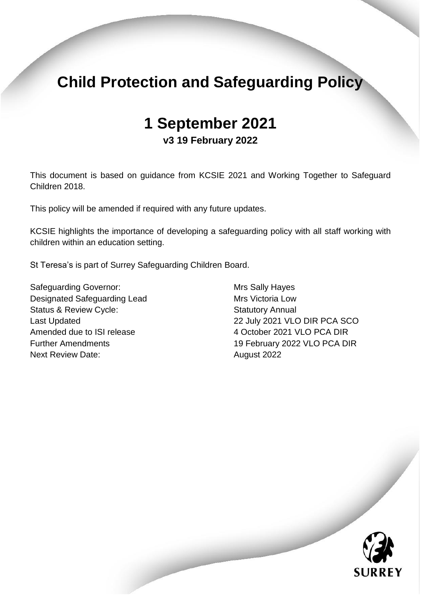# **Child Protection and Safeguarding Policy**

# **1 September 2021**

**v3 19 February 2022**

This document is based on guidance from KCSIE 2021 and Working Together to Safeguard Children 2018.

This policy will be amended if required with any future updates.

KCSIE highlights the importance of developing a safeguarding policy with all staff working with children within an education setting.

1

St Teresa's is part of Surrey Safeguarding Children Board.

Safeguarding Governor: Mrs Sally Hayes Designated Safeguarding Lead Mrs Victoria Low Status & Review Cycle: Statutory Annual Amended due to ISI release 4 October 2021 VLO PCA DIR Next Review Date: Next Review Date: Next 2022

Last Updated 22 July 2021 VLO DIR PCA SCO Further Amendments 19 February 2022 VLO PCA DIR

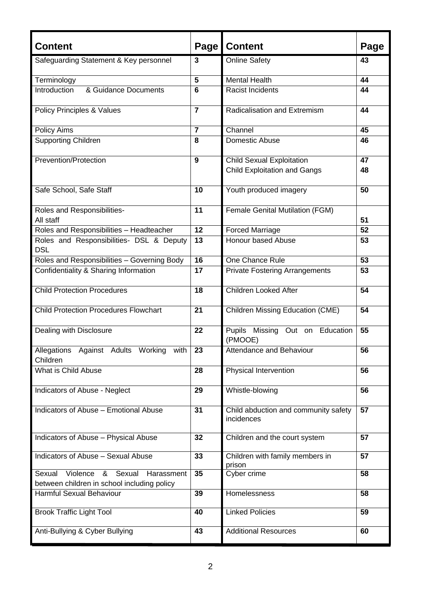| <b>Content</b>                                                                                 | Page                    | <b>Content</b>                                     | Page            |
|------------------------------------------------------------------------------------------------|-------------------------|----------------------------------------------------|-----------------|
| Safeguarding Statement & Key personnel                                                         | 3                       | <b>Online Safety</b>                               | 43              |
|                                                                                                |                         |                                                    |                 |
| Terminology<br>Introduction<br>& Guidance Documents                                            | 5<br>$6\phantom{1}$     | <b>Mental Health</b><br><b>Racist Incidents</b>    | 44<br>44        |
|                                                                                                |                         |                                                    |                 |
| <b>Policy Principles &amp; Values</b>                                                          | $\overline{\mathbf{7}}$ | <b>Radicalisation and Extremism</b>                | 44              |
| Policy Aims                                                                                    | $\overline{7}$          | Channel                                            | 45              |
| <b>Supporting Children</b>                                                                     | 8                       | Domestic Abuse                                     | 46              |
| <b>Prevention/Protection</b>                                                                   | 9                       | <b>Child Sexual Exploitation</b>                   | 47              |
|                                                                                                |                         | <b>Child Exploitation and Gangs</b>                | 48              |
| Safe School, Safe Staff                                                                        | 10                      | Youth produced imagery                             | 50              |
| Roles and Responsibilities-<br>All staff                                                       | 11                      | Female Genital Mutilation (FGM)                    | 51              |
| Roles and Responsibilities - Headteacher                                                       | 12                      | <b>Forced Marriage</b>                             | 52              |
| Roles and Responsibilities- DSL & Deputy<br><b>DSL</b>                                         | 13                      | <b>Honour based Abuse</b>                          | 53              |
| Roles and Responsibilities - Governing Body                                                    | $\overline{16}$         | One Chance Rule                                    | 53              |
| Confidentiality & Sharing Information                                                          | 17                      | <b>Private Fostering Arrangements</b>              | 53              |
| <b>Child Protection Procedures</b>                                                             | 18                      | <b>Children Looked After</b>                       | 54              |
| <b>Child Protection Procedures Flowchart</b>                                                   | 21                      | <b>Children Missing Education (CME)</b>            | 54              |
| Dealing with Disclosure                                                                        | 22                      | Pupils Missing Out on Education<br>(PMOOE)         | 55              |
| Allegations Against Adults Working<br>with<br>Children                                         | 23                      | Attendance and Behaviour                           | 56              |
| What is Child Abuse                                                                            | 28                      | Physical Intervention                              | 56              |
| Indicators of Abuse - Neglect                                                                  | 29                      | Whistle-blowing                                    | 56              |
| Indicators of Abuse - Emotional Abuse                                                          | $\overline{31}$         | Child abduction and community safety<br>incidences | $\overline{57}$ |
| Indicators of Abuse - Physical Abuse                                                           | 32                      | Children and the court system                      | 57              |
| Indicators of Abuse - Sexual Abuse                                                             | 33                      | Children with family members in<br>prison          | 57              |
| Violence<br>Sexual<br>&<br>Harassment<br>Sexual<br>between children in school including policy | 35                      | Cyber crime                                        | 58              |
| <b>Harmful Sexual Behaviour</b>                                                                | 39                      | Homelessness                                       | 58              |
| <b>Brook Traffic Light Tool</b>                                                                | 40                      | <b>Linked Policies</b>                             | 59              |
| Anti-Bullying & Cyber Bullying                                                                 | 43                      | <b>Additional Resources</b>                        | 60              |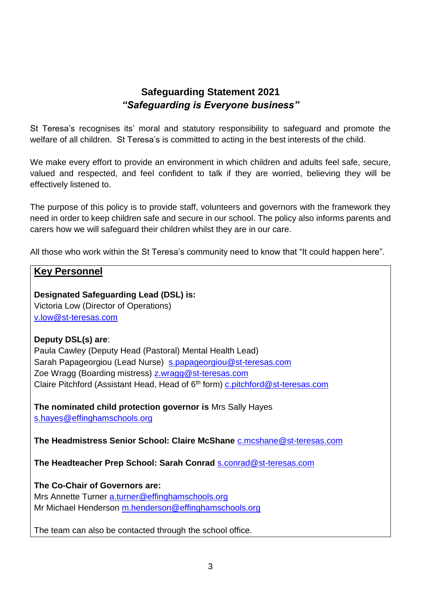## **Safeguarding Statement 2021** *"Safeguarding is Everyone business"*

St Teresa's recognises its' moral and statutory responsibility to safeguard and promote the welfare of all children. St Teresa's is committed to acting in the best interests of the child.

We make every effort to provide an environment in which children and adults feel safe, secure, valued and respected, and feel confident to talk if they are worried, believing they will be effectively listened to.

The purpose of this policy is to provide staff, volunteers and governors with the framework they need in order to keep children safe and secure in our school. The policy also informs parents and carers how we will safeguard their children whilst they are in our care.

All those who work within the St Teresa's community need to know that "It could happen here".

#### **Key Personnel**

**Designated Safeguarding Lead (DSL) is:**  Victoria Low (Director of Operations)

[v.low@st-teresas.com](mailto:v.low@st-teresas.com) 

#### **Deputy DSL(s) are**:

Paula Cawley (Deputy Head (Pastoral) Mental Health Lead) Sarah Papageorgiou (Lead Nurse) [s.papageorgiou@st-teresas.com](mailto:s.papageorgiou@st-teresas.com) Zoe Wragg (Boarding mistress) [z.wragg@st-teresas.com](mailto:z.wragg@st-teresas.com) Claire Pitchford (Assistant Head, Head of 6<sup>th</sup> form) [c.pitchford@st-teresas.com](mailto:c.pitchford@st-teresas.com)

**The nominated child protection governor is** Mrs Sally Hayes [s.hayes@effinghamschools.org](mailto:s.hayes@effinghamschools.org)

**The Headmistress Senior School: Claire McShane** [c.mcshane@st-teresas.com](mailto:c.mcshane@st-teresas.com)

**The Headteacher Prep School: Sarah Conrad** [s.conrad@st-teresas.com](mailto:s.conrad@st-teresas.com)

**The Co-Chair of Governors are:** 

Mrs Annette Turner [a.turner@effinghamschools.org](mailto:a.turner@effinghamschools.org) Mr Michael Henderson [m.henderson@effinghamschools.org](mailto:m.henderson@effinghamschools.org)

The team can also be contacted through the school office.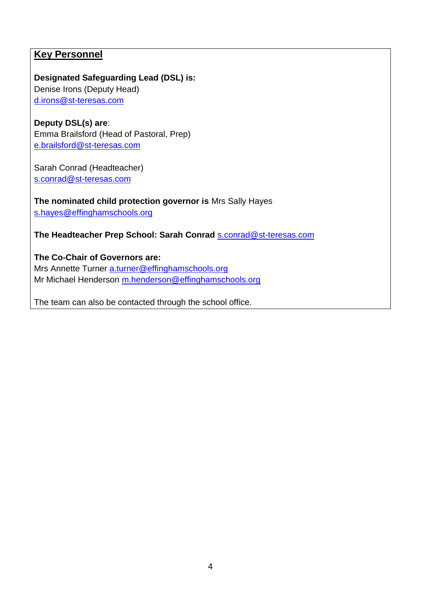## **Key Personnel**

**Designated Safeguarding Lead (DSL) is:**  Denise Irons (Deputy Head) [d.irons@st-teresas.com](mailto:d.irons@st-teresas.com)

**Deputy DSL(s) are**: Emma Brailsford (Head of Pastoral, Prep) [e.brailsford@st-teresas.com](mailto:e.brailsford@st-teresas.com)

Sarah Conrad (Headteacher) [s.conrad@st-teresas.com](mailto:s.conrad@st-teresas.com)

**The nominated child protection governor is** Mrs Sally Hayes [s.hayes@effinghamschools.org](mailto:s.hayes@effinghamschools.org)

**The Headteacher Prep School: Sarah Conrad** [s.conrad@st-teresas.com](mailto:s.conrad@st-teresas.com)

**The Co-Chair of Governors are:**  Mrs Annette Turner [a.turner@effinghamschools.org](mailto:a.turner@effinghamschools.org) Mr Michael Henderson [m.henderson@effinghamschools.org](mailto:m.henderson@effinghamschools.org) 

The team can also be contacted through the school office.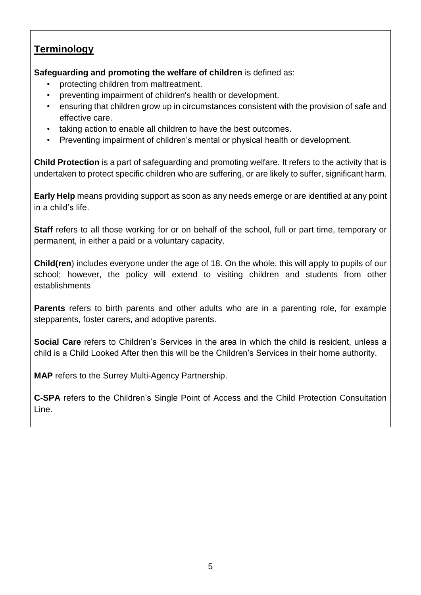## **Terminology**

**Safeguarding and promoting the welfare of children** is defined as:

- protecting children from maltreatment.
- preventing impairment of children's health or development.
- ensuring that children grow up in circumstances consistent with the provision of safe and effective care.
- taking action to enable all children to have the best outcomes.
- Preventing impairment of children's mental or physical health or development.

**Child Protection** is a part of safeguarding and promoting welfare. It refers to the activity that is undertaken to protect specific children who are suffering, or are likely to suffer, significant harm.

**Early Help** means providing support as soon as any needs emerge or are identified at any point in a child's life.

**Staff** refers to all those working for or on behalf of the school, full or part time, temporary or permanent, in either a paid or a voluntary capacity.

**Child(ren**) includes everyone under the age of 18. On the whole, this will apply to pupils of our school; however, the policy will extend to visiting children and students from other establishments

**Parents** refers to birth parents and other adults who are in a parenting role, for example stepparents, foster carers, and adoptive parents.

**Social Care** refers to Children's Services in the area in which the child is resident, unless a child is a Child Looked After then this will be the Children's Services in their home authority.

**MAP** refers to the Surrey Multi-Agency Partnership.

**C-SPA** refers to the Children's Single Point of Access and the Child Protection Consultation Line.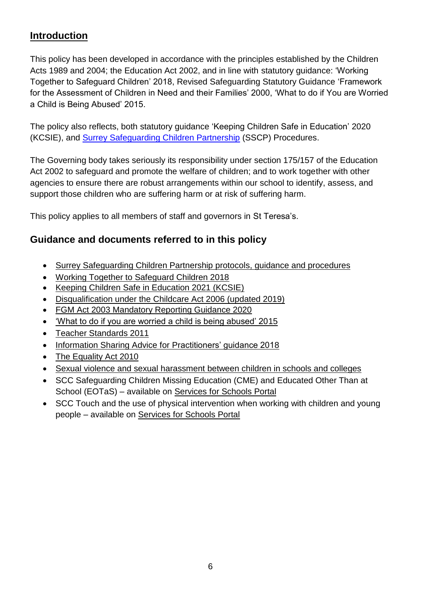## **Introduction**

This policy has been developed in accordance with the principles established by the Children Acts 1989 and 2004; the Education Act 2002, and in line with statutory guidance: 'Working Together to Safeguard Children' 2018, Revised Safeguarding Statutory Guidance 'Framework for the Assessment of Children in Need and their Families' 2000, 'What to do if You are Worried a Child is Being Abused' 2015.

The policy also reflects, both statutory guidance 'Keeping Children Safe in Education' 2020 (KCSIE), and [Surrey Safeguarding Children Partnership](https://www.surreyscp.org.uk/) (SSCP) Procedures.

The Governing body takes seriously its responsibility under section 175/157 of the Education Act 2002 to safeguard and promote the welfare of children; and to work together with other agencies to ensure there are robust arrangements within our school to identify, assess, and support those children who are suffering harm or at risk of suffering harm.

This policy applies to all members of staff and governors in St Teresa's.

## **Guidance and documents referred to in this policy**

- Surrey Safeguarding Children Partnership protocols, guidance and procedures
- [Working Together to Safeguard Children 2018](https://www.gov.uk/government/publications/working-together-to-safeguard-children--2)
- Keeping Children Safe in Education 2021 (KCSIE)
- [Disqualification under the Childcare Act 2006 \(updated 2019\)](https://www.gov.uk/government/publications/disqualification-under-the-childcare-act-2006/disqualification-under-the-childcare-act-2006)
- [FGM Act 2003 Mandatory Reporting Guidance 2020](https://www.gov.uk/government/publications/mandatory-reporting-of-female-genital-mutilation-procedural-information)
- ['What to do if you are worried a child is being abused' 2015](https://assets.publishing.service.gov.uk/government/uploads/system/uploads/attachment_data/file/419604/What_to_do_if_you_re_worried_a_child_is_being_abused.pdf)
- [Teacher Standards 2011](https://www.gov.uk/government/publications/teachers-standards)
- [Information Sharing Advice for Practitioners' guidance 2018](https://www.gov.uk/government/publications/safeguarding-practitioners-information-sharing-advice)
- [The Equality Act 2010](https://www.gov.uk/guidance/equality-act-2010-guidance)
- [Sexual violence and sexual harassment between children in schools and colleges](https://www.gov.uk/government/publications/sexual-violence-and-sexual-harassment-between-children-in-schools-and-colleges?utm_medium=email&utm_campaign=govuk-notifications&utm_source=6bc91204-ff8f-4da0-ac2c-2191bb2d1b16&utm_content=daily)
- SCC Safeguarding Children Missing Education (CME) and Educated Other Than at School (EOTaS) – available on [Services for Schools Portal](https://servicesforschools.surreycc.gov.uk/)
- SCC Touch and the use of physical intervention when working with children and young people – available on [Services for Schools Portal](https://servicesforschools.surreycc.gov.uk/)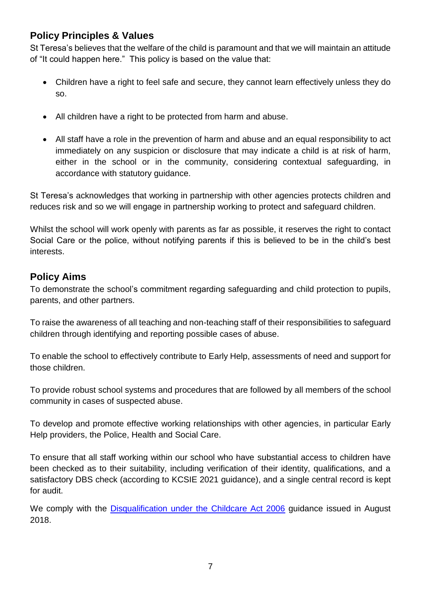## **Policy Principles & Values**

St Teresa's believes that the welfare of the child is paramount and that we will maintain an attitude of "It could happen here." This policy is based on the value that:

- Children have a right to feel safe and secure, they cannot learn effectively unless they do so.
- All children have a right to be protected from harm and abuse.
- All staff have a role in the prevention of harm and abuse and an equal responsibility to act immediately on any suspicion or disclosure that may indicate a child is at risk of harm, either in the school or in the community, considering contextual safeguarding, in accordance with statutory guidance.

St Teresa's acknowledges that working in partnership with other agencies protects children and reduces risk and so we will engage in partnership working to protect and safeguard children.

Whilst the school will work openly with parents as far as possible, it reserves the right to contact Social Care or the police, without notifying parents if this is believed to be in the child's best interests.

## **Policy Aims**

To demonstrate the school's commitment regarding safeguarding and child protection to pupils, parents, and other partners.

To raise the awareness of all teaching and non-teaching staff of their responsibilities to safeguard children through identifying and reporting possible cases of abuse.

To enable the school to effectively contribute to Early Help, assessments of need and support for those children.

To provide robust school systems and procedures that are followed by all members of the school community in cases of suspected abuse.

To develop and promote effective working relationships with other agencies, in particular Early Help providers, the Police, Health and Social Care.

To ensure that all staff working within our school who have substantial access to children have been checked as to their suitability, including verification of their identity, qualifications, and a satisfactory DBS check (according to KCSIE 2021 guidance), and a single central record is kept for audit.

We comply with the [Disqualification under the Childcare Act 2006](https://www.gov.uk/government/publications/disqualification-under-the-childcare-act-2006/disqualification-under-the-childcare-act-2006) guidance issued in August 2018.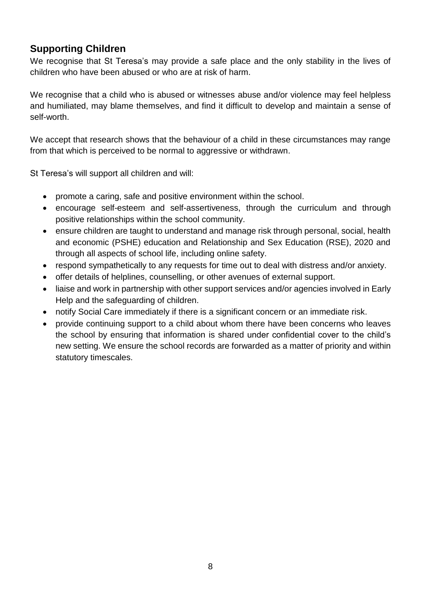## **Supporting Children**

We recognise that St Teresa's may provide a safe place and the only stability in the lives of children who have been abused or who are at risk of harm.

We recognise that a child who is abused or witnesses abuse and/or violence may feel helpless and humiliated, may blame themselves, and find it difficult to develop and maintain a sense of self-worth.

We accept that research shows that the behaviour of a child in these circumstances may range from that which is perceived to be normal to aggressive or withdrawn.

St Teresa's will support all children and will:

- promote a caring, safe and positive environment within the school.
- encourage self-esteem and self-assertiveness, through the curriculum and through positive relationships within the school community.
- ensure children are taught to understand and manage risk through personal, social, health and economic (PSHE) education and Relationship and Sex Education (RSE), 2020 and through all aspects of school life, including online safety.
- respond sympathetically to any requests for time out to deal with distress and/or anxiety.
- offer details of helplines, counselling, or other avenues of external support.
- liaise and work in partnership with other support services and/or agencies involved in Early Help and the safeguarding of children.
- notify Social Care immediately if there is a significant concern or an immediate risk.
- provide continuing support to a child about whom there have been concerns who leaves the school by ensuring that information is shared under confidential cover to the child's new setting. We ensure the school records are forwarded as a matter of priority and within statutory timescales.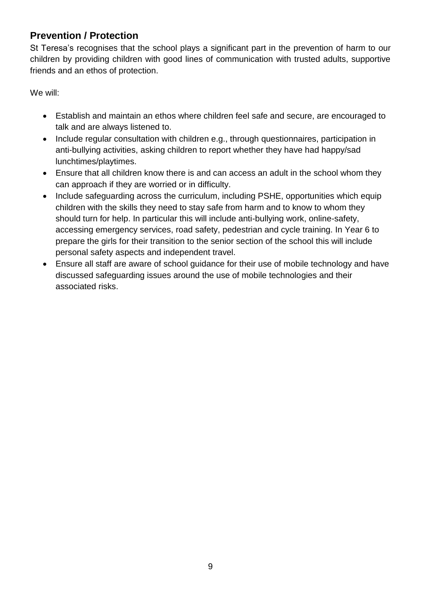## **Prevention / Protection**

St Teresa's recognises that the school plays a significant part in the prevention of harm to our children by providing children with good lines of communication with trusted adults, supportive friends and an ethos of protection.

We will:

- Establish and maintain an ethos where children feel safe and secure, are encouraged to talk and are always listened to.
- Include regular consultation with children e.g., through questionnaires, participation in anti-bullying activities, asking children to report whether they have had happy/sad lunchtimes/playtimes.
- Ensure that all children know there is and can access an adult in the school whom they can approach if they are worried or in difficulty.
- Include safeguarding across the curriculum, including PSHE, opportunities which equip children with the skills they need to stay safe from harm and to know to whom they should turn for help. In particular this will include anti-bullying work, online-safety, accessing emergency services, road safety, pedestrian and cycle training. In Year 6 to prepare the girls for their transition to the senior section of the school this will include personal safety aspects and independent travel.
- Ensure all staff are aware of school guidance for their use of mobile technology and have discussed safeguarding issues around the use of mobile technologies and their associated risks.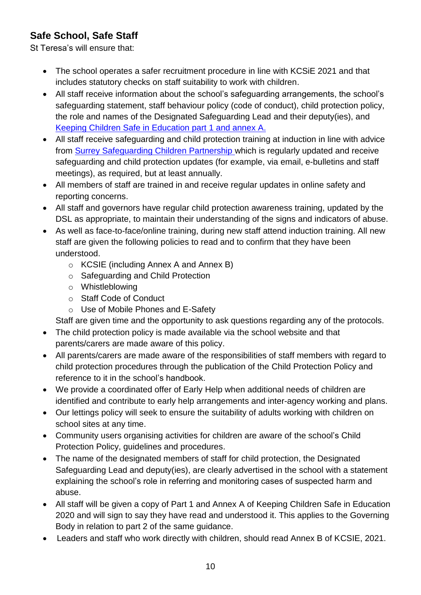## **Safe School, Safe Staff**

St Teresa's will ensure that:

- The school operates a safer recruitment procedure in line with KCSiE 2021 and that includes statutory checks on staff suitability to work with children.
- All staff receive information about the school's safeguarding arrangements, the school's safeguarding statement, staff behaviour policy (code of conduct), child protection policy, the role and names of the Designated Safeguarding Lead and their deputy(ies), and [Keeping Children Safe in Education part 1 and annex A.](https://www.gov.uk/government/publications/keeping-children-safe-in-education--2)
- All staff receive safeguarding and child protection training at induction in line with advice from [Surrey Safeguarding Children Partnership](https://www.surreyscp.org.uk/) which is regularly updated and receive safeguarding and child protection updates (for example, via email, e-bulletins and staff meetings), as required, but at least annually.
- All members of staff are trained in and receive regular updates in online safety and reporting concerns.
- All staff and governors have regular child protection awareness training, updated by the DSL as appropriate, to maintain their understanding of the signs and indicators of abuse.
- As well as face-to-face/online training, during new staff attend induction training. All new staff are given the following policies to read and to confirm that they have been understood.
	- o KCSIE (including Annex A and Annex B)
	- o Safeguarding and Child Protection
	- o Whistleblowing
	- o Staff Code of Conduct
	- o Use of Mobile Phones and E-Safety
	- Staff are given time and the opportunity to ask questions regarding any of the protocols.
- The child protection policy is made available via the school website and that parents/carers are made aware of this policy.
- All parents/carers are made aware of the responsibilities of staff members with regard to child protection procedures through the publication of the Child Protection Policy and reference to it in the school's handbook.
- We provide a coordinated offer of Early Help when additional needs of children are identified and contribute to early help arrangements and inter-agency working and plans.
- Our lettings policy will seek to ensure the suitability of adults working with children on school sites at any time.
- Community users organising activities for children are aware of the school's Child Protection Policy, guidelines and procedures.
- The name of the designated members of staff for child protection, the Designated Safeguarding Lead and deputy(ies), are clearly advertised in the school with a statement explaining the school's role in referring and monitoring cases of suspected harm and abuse.
- All staff will be given a copy of Part 1 and Annex A of Keeping Children Safe in Education 2020 and will sign to say they have read and understood it. This applies to the Governing Body in relation to part 2 of the same guidance.
- Leaders and staff who work directly with children, should read Annex B of KCSIE, 2021.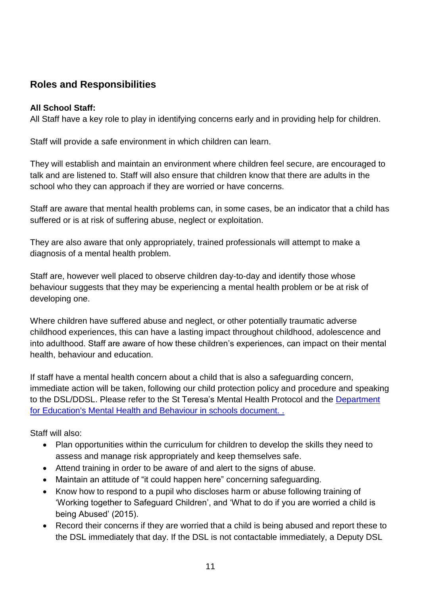## **Roles and Responsibilities**

#### **All School Staff:**

All Staff have a key role to play in identifying concerns early and in providing help for children.

Staff will provide a safe environment in which children can learn.

They will establish and maintain an environment where children feel secure, are encouraged to talk and are listened to. Staff will also ensure that children know that there are adults in the school who they can approach if they are worried or have concerns.

Staff are aware that mental health problems can, in some cases, be an indicator that a child has suffered or is at risk of suffering abuse, neglect or exploitation.

They are also aware that only appropriately, trained professionals will attempt to make a diagnosis of a mental health problem.

Staff are, however well placed to observe children day-to-day and identify those whose behaviour suggests that they may be experiencing a mental health problem or be at risk of developing one.

Where children have suffered abuse and neglect, or other potentially traumatic adverse childhood experiences, this can have a lasting impact throughout childhood, adolescence and into adulthood. Staff are aware of how these children's experiences, can impact on their mental health, behaviour and education.

If staff have a mental health concern about a child that is also a safeguarding concern, immediate action will be taken, following our child protection policy and procedure and speaking to the DSL/DDSL. Please refer to the St Teresa's Mental Health Protocol and the [Department](https://www.gov.uk/government/publications/mental-health-and-behaviour-in-schools--2)  [for Education's Mental Health and Behaviour in schools document. .](https://www.gov.uk/government/publications/mental-health-and-behaviour-in-schools--2) 

Staff will also:

- Plan opportunities within the curriculum for children to develop the skills they need to assess and manage risk appropriately and keep themselves safe.
- Attend training in order to be aware of and alert to the signs of abuse.
- Maintain an attitude of "it could happen here" concerning safeguarding.
- Know how to respond to a pupil who discloses harm or abuse following training of 'Working together to Safeguard Children', and 'What to do if you are worried a child is being Abused' (2015).
- Record their concerns if they are worried that a child is being abused and report these to the DSL immediately that day. If the DSL is not contactable immediately, a Deputy DSL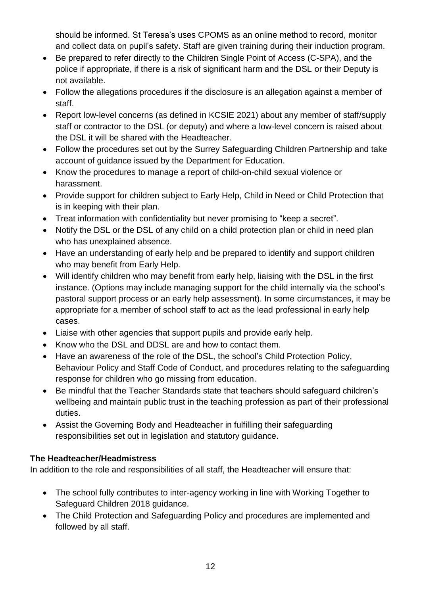should be informed. St Teresa's uses CPOMS as an online method to record, monitor and collect data on pupil's safety. Staff are given training during their induction program.

- Be prepared to refer directly to the Children Single Point of Access (C-SPA), and the police if appropriate, if there is a risk of significant harm and the DSL or their Deputy is not available.
- Follow the allegations procedures if the disclosure is an allegation against a member of staff.
- Report low-level concerns (as defined in KCSIE 2021) about any member of staff/supply staff or contractor to the DSL (or deputy) and where a low-level concern is raised about the DSL it will be shared with the Headteacher.
- Follow the procedures set out by the Surrey Safeguarding Children Partnership and take account of guidance issued by the Department for Education.
- Know the procedures to manage a report of child-on-child sexual violence or harassment.
- Provide support for children subject to Early Help, Child in Need or Child Protection that is in keeping with their plan.
- Treat information with confidentiality but never promising to "keep a secret".
- Notify the DSL or the DSL of any child on a child protection plan or child in need plan who has unexplained absence.
- Have an understanding of early help and be prepared to identify and support children who may benefit from Early Help.
- Will identify children who may benefit from early help, liaising with the DSL in the first instance. (Options may include managing support for the child internally via the school's pastoral support process or an early help assessment). In some circumstances, it may be appropriate for a member of school staff to act as the lead professional in early help cases.
- Liaise with other agencies that support pupils and provide early help.
- Know who the DSL and DDSL are and how to contact them.
- Have an awareness of the role of the DSL, the school's Child Protection Policy, Behaviour Policy and Staff Code of Conduct, and procedures relating to the safeguarding response for children who go missing from education.
- Be mindful that the Teacher Standards state that teachers should safeguard children's wellbeing and maintain public trust in the teaching profession as part of their professional duties.
- Assist the Governing Body and Headteacher in fulfilling their safeguarding responsibilities set out in legislation and statutory guidance.

#### **The Headteacher/Headmistress**

In addition to the role and responsibilities of all staff, the Headteacher will ensure that:

- The school fully contributes to inter-agency working in line with Working Together to Safeguard Children 2018 guidance.
- The Child Protection and Safeguarding Policy and procedures are implemented and followed by all staff.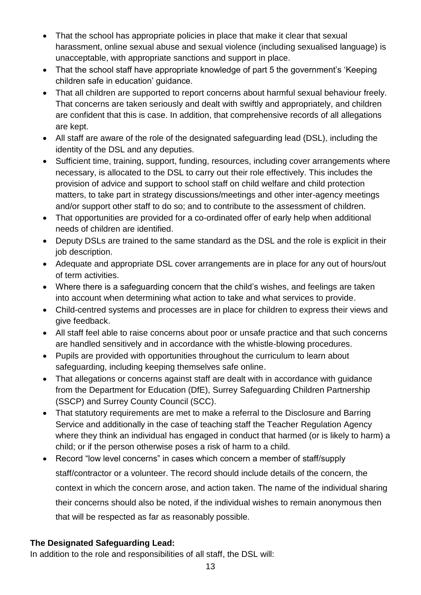- That the school has appropriate policies in place that make it clear that sexual harassment, online sexual abuse and sexual violence (including sexualised language) is unacceptable, with appropriate sanctions and support in place.
- That the school staff have appropriate knowledge of part 5 the government's 'Keeping children safe in education' guidance.
- That all children are supported to report concerns about harmful sexual behaviour freely. That concerns are taken seriously and dealt with swiftly and appropriately, and children are confident that this is case. In addition, that comprehensive records of all allegations are kept.
- All staff are aware of the role of the designated safeguarding lead (DSL), including the identity of the DSL and any deputies.
- Sufficient time, training, support, funding, resources, including cover arrangements where necessary, is allocated to the DSL to carry out their role effectively. This includes the provision of advice and support to school staff on child welfare and child protection matters, to take part in strategy discussions/meetings and other inter-agency meetings and/or support other staff to do so; and to contribute to the assessment of children.
- That opportunities are provided for a co-ordinated offer of early help when additional needs of children are identified.
- Deputy DSLs are trained to the same standard as the DSL and the role is explicit in their job description.
- Adequate and appropriate DSL cover arrangements are in place for any out of hours/out of term activities.
- Where there is a safeguarding concern that the child's wishes, and feelings are taken into account when determining what action to take and what services to provide.
- Child-centred systems and processes are in place for children to express their views and give feedback.
- All staff feel able to raise concerns about poor or unsafe practice and that such concerns are handled sensitively and in accordance with the whistle-blowing procedures.
- Pupils are provided with opportunities throughout the curriculum to learn about safeguarding, including keeping themselves safe online.
- That allegations or concerns against staff are dealt with in accordance with guidance from the Department for Education (DfE), Surrey Safeguarding Children Partnership (SSCP) and Surrey County Council (SCC).
- That statutory requirements are met to make a referral to the Disclosure and Barring Service and additionally in the case of teaching staff the Teacher Regulation Agency where they think an individual has engaged in conduct that harmed (or is likely to harm) a child; or if the person otherwise poses a risk of harm to a child.
- Record "low level concerns" in cases which concern a member of staff/supply staff/contractor or a volunteer. The record should include details of the concern, the context in which the concern arose, and action taken. The name of the individual sharing their concerns should also be noted, if the individual wishes to remain anonymous then that will be respected as far as reasonably possible.

#### **The Designated Safeguarding Lead:**

In addition to the role and responsibilities of all staff, the DSL will: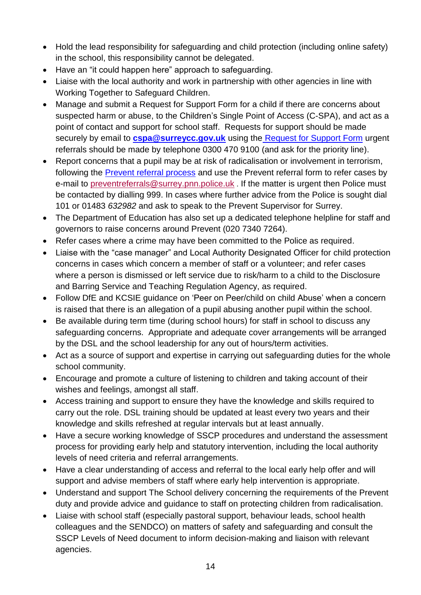- Hold the lead responsibility for safeguarding and child protection (including online safety) in the school, this responsibility cannot be delegated.
- Have an "it could happen here" approach to safeguarding.
- Liaise with the local authority and work in partnership with other agencies in line with Working Together to Safeguard Children.
- Manage and submit a Request for Support Form for a child if there are concerns about suspected harm or abuse, to the Children's Single Point of Access (C-SPA), and act as a point of contact and support for school staff. Requests for support should be made securely by email to **[cspa@surreycc.gov.uk](mailto:cspa@surreycc.gov.uk)** using the [Request for Support Form](https://www.surreyscb.org.uk/resources-category/sscbmultiagencyforms/) urgent referrals should be made by telephone 0300 470 9100 (and ask for the priority line).
- Report concerns that a pupil may be at risk of radicalisation or involvement in terrorism, following the [Prevent referral process](https://www.surreyscb.org.uk/2018/12/16/prevent-referral-process-september-2018/) and use the Prevent referral form to refer cases by e-mail to [preventreferrals@surrey.pnn.police.uk](mailto:preventreferrals@surrey.pnn.police.uk) . If the matter is urgent then Police must be contacted by dialling 999. In cases where further advice from the Police is sought dial 101 or 01483 *632982* and ask to speak to the Prevent Supervisor for Surrey.
- The Department of Education has also set up a dedicated telephone helpline for staff and governors to raise concerns around Prevent (020 7340 7264).
- Refer cases where a crime may have been committed to the Police as required.
- Liaise with the "case manager" and Local Authority Designated Officer for child protection concerns in cases which concern a member of staff or a volunteer; and refer cases where a person is dismissed or left service due to risk/harm to a child to the Disclosure and Barring Service and Teaching Regulation Agency, as required.
- Follow DfE and KCSIE guidance on 'Peer on Peer/child on child Abuse' when a concern is raised that there is an allegation of a pupil abusing another pupil within the school.
- Be available during term time (during school hours) for staff in school to discuss any safeguarding concerns. Appropriate and adequate cover arrangements will be arranged by the DSL and the school leadership for any out of hours/term activities.
- Act as a source of support and expertise in carrying out safeguarding duties for the whole school community.
- Encourage and promote a culture of listening to children and taking account of their wishes and feelings, amongst all staff.
- Access training and support to ensure they have the knowledge and skills required to carry out the role. DSL training should be updated at least every two years and their knowledge and skills refreshed at regular intervals but at least annually.
- Have a secure working knowledge of SSCP procedures and understand the assessment process for providing early help and statutory intervention, including the local authority levels of need criteria and referral arrangements.
- Have a clear understanding of access and referral to the local early help offer and will support and advise members of staff where early help intervention is appropriate.
- Understand and support The School delivery concerning the requirements of the Prevent duty and provide advice and guidance to staff on protecting children from radicalisation.
- Liaise with school staff (especially pastoral support, behaviour leads, school health colleagues and the SENDCO) on matters of safety and safeguarding and consult the SSCP Levels of Need document to inform decision-making and liaison with relevant agencies.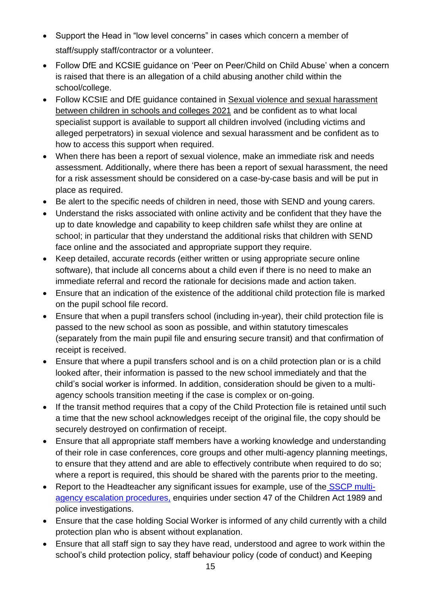- Support the Head in "low level concerns" in cases which concern a member of staff/supply staff/contractor or a volunteer.
- Follow DfE and KCSIE guidance on 'Peer on Peer/Child on Child Abuse' when a concern is raised that there is an allegation of a child abusing another child within the school/college.
- Follow KCSIE and DfE guidance contained in [Sexual violence and sexual harassment](https://www.gov.uk/government/publications/sexual-violence-and-sexual-harassment-between-children-in-schools-and-collegesBe)  [between children in schools and colleges 2021](https://www.gov.uk/government/publications/sexual-violence-and-sexual-harassment-between-children-in-schools-and-collegesBe) and be confident as to what local specialist support is available to support all children involved (including victims and alleged perpetrators) in sexual violence and sexual harassment and be confident as to how to access this support when required.
- When there has been a report of sexual violence, make an immediate risk and needs assessment. Additionally, where there has been a report of sexual harassment, the need for a risk assessment should be considered on a case-by-case basis and will be put in place as required.
- Be alert to the specific needs of children in need, those with SEND and young carers.
- Understand the risks associated with online activity and be confident that they have the up to date knowledge and capability to keep children safe whilst they are online at school; in particular that they understand the additional risks that children with SEND face online and the associated and appropriate support they require.
- Keep detailed, accurate records (either written or using appropriate secure online software), that include all concerns about a child even if there is no need to make an immediate referral and record the rationale for decisions made and action taken.
- Ensure that an indication of the existence of the additional child protection file is marked on the pupil school file record.
- Ensure that when a pupil transfers school (including in-year), their child protection file is passed to the new school as soon as possible, and within statutory timescales (separately from the main pupil file and ensuring secure transit) and that confirmation of receipt is received.
- Ensure that where a pupil transfers school and is on a child protection plan or is a child looked after, their information is passed to the new school immediately and that the child's social worker is informed. In addition, consideration should be given to a multiagency schools transition meeting if the case is complex or on-going.
- If the transit method requires that a copy of the Child Protection file is retained until such a time that the new school acknowledges receipt of the original file, the copy should be securely destroyed on confirmation of receipt.
- Ensure that all appropriate staff members have a working knowledge and understanding of their role in case conferences, core groups and other multi-agency planning meetings, to ensure that they attend and are able to effectively contribute when required to do so; where a report is required, this should be shared with the parents prior to the meeting.
- Report to the Headteacher any significant issues for example, use of the [SSCP](https://surreyscb.procedures.org.uk/skptp/complaints-and-disagreements/inter-agency-escalation-policy-and-procedure) multi[agency escalation procedures,](https://surreyscb.procedures.org.uk/skptp/complaints-and-disagreements/inter-agency-escalation-policy-and-procedure) enquiries under section 47 of the Children Act 1989 and police investigations.
- Ensure that the case holding Social Worker is informed of any child currently with a child protection plan who is absent without explanation.
- Ensure that all staff sign to say they have read, understood and agree to work within the school's child protection policy, staff behaviour policy (code of conduct) and Keeping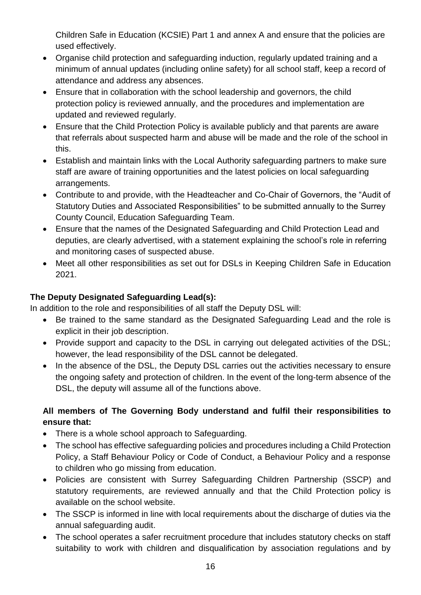Children Safe in Education (KCSIE) Part 1 and annex A and ensure that the policies are used effectively.

- Organise child protection and safeguarding induction, regularly updated training and a minimum of annual updates (including online safety) for all school staff, keep a record of attendance and address any absences.
- Ensure that in collaboration with the school leadership and governors, the child protection policy is reviewed annually, and the procedures and implementation are updated and reviewed regularly.
- Ensure that the Child Protection Policy is available publicly and that parents are aware that referrals about suspected harm and abuse will be made and the role of the school in this.
- Establish and maintain links with the Local Authority safeguarding partners to make sure staff are aware of training opportunities and the latest policies on local safeguarding arrangements.
- Contribute to and provide, with the Headteacher and Co-Chair of Governors, the "Audit of Statutory Duties and Associated Responsibilities" to be submitted annually to the Surrey County Council, Education Safeguarding Team.
- Ensure that the names of the Designated Safeguarding and Child Protection Lead and deputies, are clearly advertised, with a statement explaining the school's role in referring and monitoring cases of suspected abuse.
- Meet all other responsibilities as set out for DSLs in Keeping Children Safe in Education 2021.

#### **The Deputy Designated Safeguarding Lead(s):**

In addition to the role and responsibilities of all staff the Deputy DSL will:

- Be trained to the same standard as the Designated Safeguarding Lead and the role is explicit in their job description.
- Provide support and capacity to the DSL in carrying out delegated activities of the DSL; however, the lead responsibility of the DSL cannot be delegated.
- In the absence of the DSL, the Deputy DSL carries out the activities necessary to ensure the ongoing safety and protection of children. In the event of the long-term absence of the DSL, the deputy will assume all of the functions above.

### **All members of The Governing Body understand and fulfil their responsibilities to ensure that:**

- There is a whole school approach to Safeguarding.
- The school has effective safeguarding policies and procedures including a Child Protection Policy, a Staff Behaviour Policy or Code of Conduct, a Behaviour Policy and a response to children who go missing from education.
- Policies are consistent with Surrey Safeguarding Children Partnership (SSCP) and statutory requirements, are reviewed annually and that the Child Protection policy is available on the school website.
- The SSCP is informed in line with local requirements about the discharge of duties via the annual safeguarding audit.
- The school operates a safer recruitment procedure that includes statutory checks on staff suitability to work with children and disqualification by association regulations and by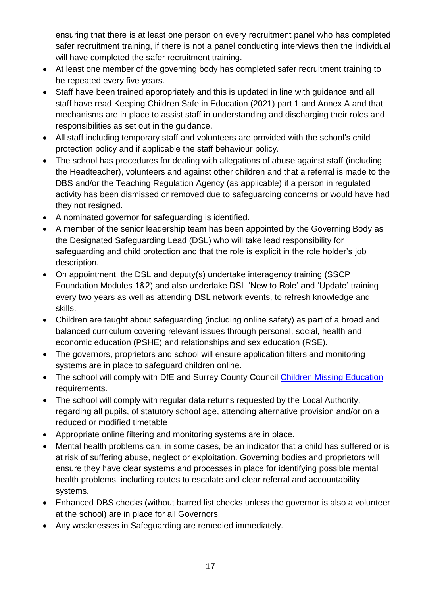ensuring that there is at least one person on every recruitment panel who has completed safer recruitment training, if there is not a panel conducting interviews then the individual will have completed the safer recruitment training.

- At least one member of the governing body has completed safer recruitment training to be repeated every five years.
- Staff have been trained appropriately and this is updated in line with guidance and all staff have read Keeping Children Safe in Education (2021) part 1 and Annex A and that mechanisms are in place to assist staff in understanding and discharging their roles and responsibilities as set out in the guidance.
- All staff including temporary staff and volunteers are provided with the school's child protection policy and if applicable the staff behaviour policy.
- The school has procedures for dealing with allegations of abuse against staff (including the Headteacher), volunteers and against other children and that a referral is made to the DBS and/or the Teaching Regulation Agency (as applicable) if a person in regulated activity has been dismissed or removed due to safeguarding concerns or would have had they not resigned.
- A nominated governor for safeguarding is identified.
- A member of the senior leadership team has been appointed by the Governing Body as the Designated Safeguarding Lead (DSL) who will take lead responsibility for safeguarding and child protection and that the role is explicit in the role holder's job description.
- On appointment, the DSL and deputy(s) undertake interagency training (SSCP Foundation Modules 1&2) and also undertake DSL 'New to Role' and 'Update' training every two years as well as attending DSL network events, to refresh knowledge and skills.
- Children are taught about safeguarding (including online safety) as part of a broad and balanced curriculum covering relevant issues through personal, social, health and economic education (PSHE) and relationships and sex education (RSE).
- The governors, proprietors and school will ensure application filters and monitoring systems are in place to safeguard children online.
- The school will comply with DfE and Surrey County Council [Children Missing Education](https://www.surreycc.gov.uk/__data/assets/pdf_file/0005/109589/Final-CME-Policy-2017-ver-2-updated-nov17.pdf) requirements.
- The school will comply with regular data returns requested by the Local Authority, regarding all pupils, of statutory school age, attending alternative provision and/or on a reduced or modified timetable
- Appropriate online filtering and monitoring systems are in place.
- Mental health problems can, in some cases, be an indicator that a child has suffered or is at risk of suffering abuse, neglect or exploitation. Governing bodies and proprietors will ensure they have clear systems and processes in place for identifying possible mental health problems, including routes to escalate and clear referral and accountability systems.
- Enhanced DBS checks (without barred list checks unless the governor is also a volunteer at the school) are in place for all Governors.
- Any weaknesses in Safeguarding are remedied immediately.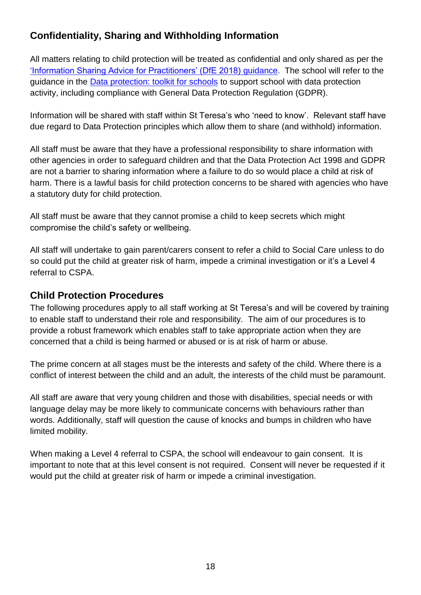## **Confidentiality, Sharing and Withholding Information**

All matters relating to child protection will be treated as confidential and only shared as per the ['Information Sharing Advice for Practitioners' \(DfE 2018\) guidance.](https://www.gov.uk/government/publications/safeguarding-practitioners-information-sharing-advice) The school will refer to the guidance in the [Data protection: toolkit for schools](https://www.gov.uk/government/publications/data-protection-toolkit-for-schools) to support school with data protection activity, including compliance with General Data Protection Regulation (GDPR).

Information will be shared with staff within St Teresa's who 'need to know'. Relevant staff have due regard to Data Protection principles which allow them to share (and withhold) information.

All staff must be aware that they have a professional responsibility to share information with other agencies in order to safeguard children and that the Data Protection Act 1998 and GDPR are not a barrier to sharing information where a failure to do so would place a child at risk of harm. There is a lawful basis for child protection concerns to be shared with agencies who have a statutory duty for child protection.

All staff must be aware that they cannot promise a child to keep secrets which might compromise the child's safety or wellbeing.

All staff will undertake to gain parent/carers consent to refer a child to Social Care unless to do so could put the child at greater risk of harm, impede a criminal investigation or it's a Level 4 referral to CSPA.

## **Child Protection Procedures**

The following procedures apply to all staff working at St Teresa's and will be covered by training to enable staff to understand their role and responsibility. The aim of our procedures is to provide a robust framework which enables staff to take appropriate action when they are concerned that a child is being harmed or abused or is at risk of harm or abuse.

The prime concern at all stages must be the interests and safety of the child. Where there is a conflict of interest between the child and an adult, the interests of the child must be paramount.

All staff are aware that very young children and those with disabilities, special needs or with language delay may be more likely to communicate concerns with behaviours rather than words. Additionally, staff will question the cause of knocks and bumps in children who have limited mobility.

When making a Level 4 referral to CSPA, the school will endeavour to gain consent. It is important to note that at this level consent is not required. Consent will never be requested if it would put the child at greater risk of harm or impede a criminal investigation.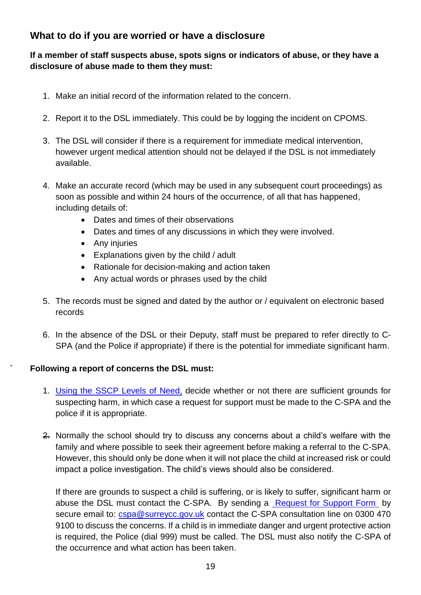## **What to do if you are worried or have a disclosure**

#### **If a member of staff suspects abuse, spots signs or indicators of abuse, or they have a disclosure of abuse made to them they must:**

- 1. Make an initial record of the information related to the concern.
- 2. Report it to the DSL immediately. This could be by logging the incident on CPOMS.
- 3. The DSL will consider if there is a requirement for immediate medical intervention, however urgent medical attention should not be delayed if the DSL is not immediately available.
- 4. Make an accurate record (which may be used in any subsequent court proceedings) as soon as possible and within 24 hours of the occurrence, of all that has happened, including details of:
	- Dates and times of their observations
	- Dates and times of any discussions in which they were involved.
	- Any injuries
	- Explanations given by the child / adult
	- Rationale for decision-making and action taken
	- Any actual words or phrases used by the child
- 5. The records must be signed and dated by the author or / equivalent on electronic based records
- 6. In the absence of the DSL or their Deputy, staff must be prepared to refer directly to C-SPA (and the Police if appropriate) if there is the potential for immediate significant harm.

#### **` Following a report of concerns the DSL must:**

- 1. [Using the SSCP](https://www.surreyscp.org.uk/resources-category/effectivefamilyresiliencelevelsofneed/) Levels of Need, decide whether or not there are sufficient grounds for suspecting harm, in which case a request for support must be made to the C-SPA and the police if it is appropriate.
- 2. Normally the school should try to discuss any concerns about a child's welfare with the family and where possible to seek their agreement before making a referral to the C-SPA. However, this should only be done when it will not place the child at increased risk or could impact a police investigation. The child's views should also be considered.

If there are grounds to suspect a child is suffering, or is likely to suffer, significant harm or abuse the DSL must contact the C-SPA. By sending a [Request for Support Form](mailto:Multi-Agency%20Request%20for%20Support%20Form) by secure email to: [cspa@surreycc.gov.uk](mailto:cspa@surreycc.gov.uk) contact the C-SPA consultation line on 0300 470 9100 to discuss the concerns. If a child is in immediate danger and urgent protective action is required, the Police (dial 999) must be called. The DSL must also notify the C-SPA of the occurrence and what action has been taken.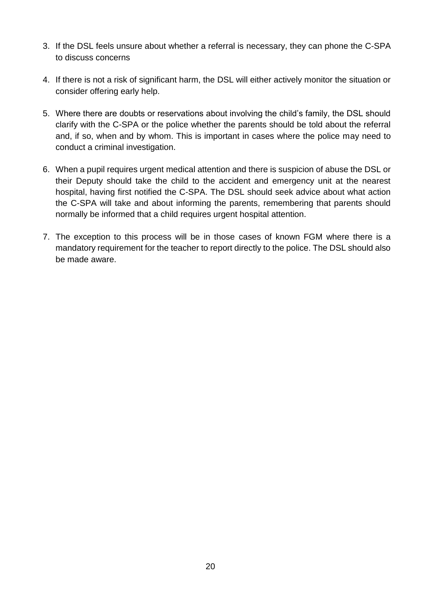- 3. If the DSL feels unsure about whether a referral is necessary, they can phone the C-SPA to discuss concerns
- 4. If there is not a risk of significant harm, the DSL will either actively monitor the situation or consider offering early help.
- 5. Where there are doubts or reservations about involving the child's family, the DSL should clarify with the C-SPA or the police whether the parents should be told about the referral and, if so, when and by whom. This is important in cases where the police may need to conduct a criminal investigation.
- 6. When a pupil requires urgent medical attention and there is suspicion of abuse the DSL or their Deputy should take the child to the accident and emergency unit at the nearest hospital, having first notified the C-SPA. The DSL should seek advice about what action the C-SPA will take and about informing the parents, remembering that parents should normally be informed that a child requires urgent hospital attention.
- 7. The exception to this process will be in those cases of known FGM where there is a mandatory requirement for the teacher to report directly to the police. The DSL should also be made aware.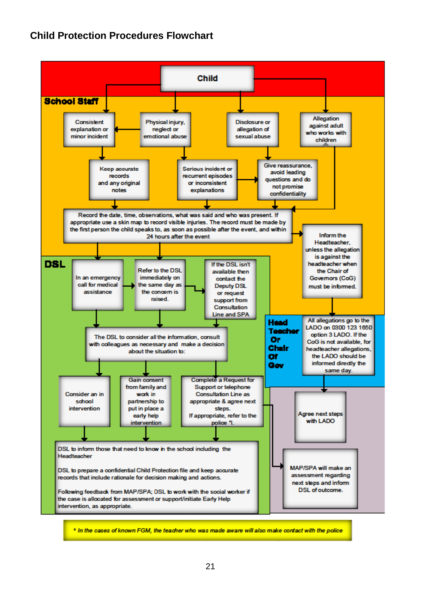## **Child Protection Procedures Flowchart**



\* In the cases of known FGM, the teacher who was made aware will also make contact with the police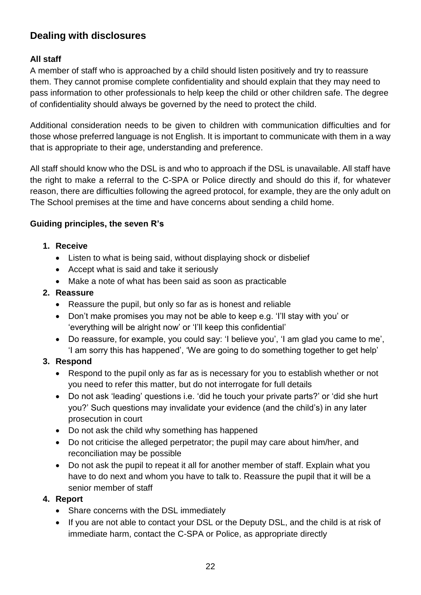## **Dealing with disclosures**

#### **All staff**

A member of staff who is approached by a child should listen positively and try to reassure them. They cannot promise complete confidentiality and should explain that they may need to pass information to other professionals to help keep the child or other children safe. The degree of confidentiality should always be governed by the need to protect the child.

Additional consideration needs to be given to children with communication difficulties and for those whose preferred language is not English. It is important to communicate with them in a way that is appropriate to their age, understanding and preference.

All staff should know who the DSL is and who to approach if the DSL is unavailable. All staff have the right to make a referral to the C-SPA or Police directly and should do this if, for whatever reason, there are difficulties following the agreed protocol, for example, they are the only adult on The School premises at the time and have concerns about sending a child home.

#### **Guiding principles, the seven R's**

- **1. Receive**
	- Listen to what is being said, without displaying shock or disbelief
	- Accept what is said and take it seriously
	- Make a note of what has been said as soon as practicable

#### **2. Reassure**

- Reassure the pupil, but only so far as is honest and reliable
- Don't make promises you may not be able to keep e.g. 'I'll stay with you' or 'everything will be alright now' or 'I'll keep this confidential'
- Do reassure, for example, you could say: 'I believe you', 'I am glad you came to me', 'I am sorry this has happened', 'We are going to do something together to get help'

#### **3. Respond**

- Respond to the pupil only as far as is necessary for you to establish whether or not you need to refer this matter, but do not interrogate for full details
- Do not ask 'leading' questions i.e. 'did he touch your private parts?' or 'did she hurt you?' Such questions may invalidate your evidence (and the child's) in any later prosecution in court
- Do not ask the child why something has happened
- Do not criticise the alleged perpetrator; the pupil may care about him/her, and reconciliation may be possible
- Do not ask the pupil to repeat it all for another member of staff. Explain what you have to do next and whom you have to talk to. Reassure the pupil that it will be a senior member of staff

#### **4. Report**

- Share concerns with the DSL immediately
- If you are not able to contact your DSL or the Deputy DSL, and the child is at risk of immediate harm, contact the C-SPA or Police, as appropriate directly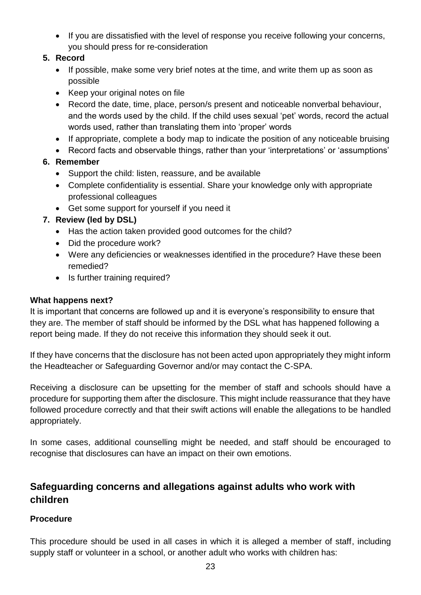• If you are dissatisfied with the level of response you receive following your concerns, you should press for re-consideration

#### **5. Record**

- If possible, make some very brief notes at the time, and write them up as soon as possible
- Keep your original notes on file
- Record the date, time, place, person/s present and noticeable nonverbal behaviour, and the words used by the child. If the child uses sexual 'pet' words, record the actual words used, rather than translating them into 'proper' words
- If appropriate, complete a body map to indicate the position of any noticeable bruising
- Record facts and observable things, rather than your 'interpretations' or 'assumptions'

#### **6. Remember**

- Support the child: listen, reassure, and be available
- Complete confidentiality is essential. Share your knowledge only with appropriate professional colleagues
- Get some support for yourself if you need it

#### **7. Review (led by DSL)**

- Has the action taken provided good outcomes for the child?
- Did the procedure work?
- Were any deficiencies or weaknesses identified in the procedure? Have these been remedied?
- Is further training required?

#### **What happens next?**

It is important that concerns are followed up and it is everyone's responsibility to ensure that they are. The member of staff should be informed by the DSL what has happened following a report being made. If they do not receive this information they should seek it out.

If they have concerns that the disclosure has not been acted upon appropriately they might inform the Headteacher or Safeguarding Governor and/or may contact the C-SPA.

Receiving a disclosure can be upsetting for the member of staff and schools should have a procedure for supporting them after the disclosure. This might include reassurance that they have followed procedure correctly and that their swift actions will enable the allegations to be handled appropriately.

In some cases, additional counselling might be needed, and staff should be encouraged to recognise that disclosures can have an impact on their own emotions.

## **Safeguarding concerns and allegations against adults who work with children**

#### **Procedure**

This procedure should be used in all cases in which it is alleged a member of staff, including supply staff or volunteer in a school, or another adult who works with children has: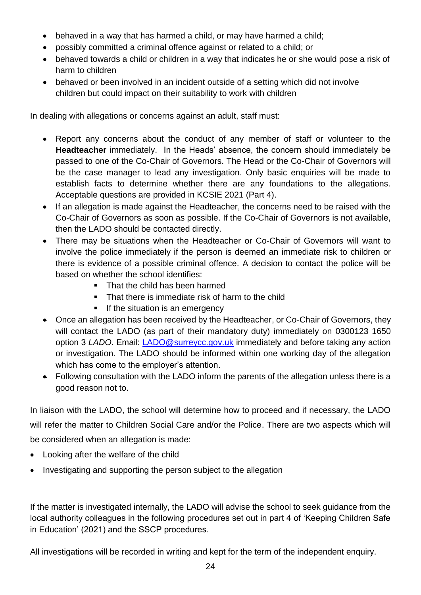- behaved in a way that has harmed a child, or may have harmed a child;
- possibly committed a criminal offence against or related to a child; or
- behaved towards a child or children in a way that indicates he or she would pose a risk of harm to children
- behaved or been involved in an incident outside of a setting which did not involve children but could impact on their suitability to work with children

In dealing with allegations or concerns against an adult, staff must:

- Report any concerns about the conduct of any member of staff or volunteer to the **Headteacher** immediately. In the Heads' absence, the concern should immediately be passed to one of the Co-Chair of Governors. The Head or the Co-Chair of Governors will be the case manager to lead any investigation. Only basic enquiries will be made to establish facts to determine whether there are any foundations to the allegations. Acceptable questions are provided in KCSIE 2021 (Part 4).
- If an allegation is made against the Headteacher, the concerns need to be raised with the Co-Chair of Governors as soon as possible. If the Co-Chair of Governors is not available, then the LADO should be contacted directly.
- There may be situations when the Headteacher or Co-Chair of Governors will want to involve the police immediately if the person is deemed an immediate risk to children or there is evidence of a possible criminal offence. A decision to contact the police will be based on whether the school identifies:
	- That the child has been harmed
	- That there is immediate risk of harm to the child
	- **If the situation is an emergency**
- Once an allegation has been received by the Headteacher, or Co-Chair of Governors, they will contact the LADO (as part of their mandatory duty) immediately on 0300123 1650 option 3 *LADO.* Email: [LADO@surreycc.gov.uk](mailto:LADO@surreycc.gov.uk) immediately and before taking any action or investigation. The LADO should be informed within one working day of the allegation which has come to the employer's attention.
- Following consultation with the LADO inform the parents of the allegation unless there is a good reason not to.

In liaison with the LADO, the school will determine how to proceed and if necessary, the LADO will refer the matter to Children Social Care and/or the Police. There are two aspects which will be considered when an allegation is made:

- Looking after the welfare of the child
- Investigating and supporting the person subject to the allegation

If the matter is investigated internally, the LADO will advise the school to seek guidance from the local authority colleagues in the following procedures set out in part 4 of 'Keeping Children Safe in Education' (2021) and the SSCP procedures.

All investigations will be recorded in writing and kept for the term of the independent enquiry.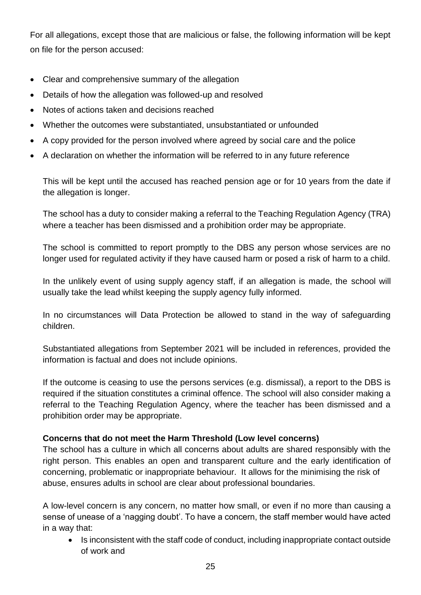For all allegations, except those that are malicious or false, the following information will be kept on file for the person accused:

- Clear and comprehensive summary of the allegation
- Details of how the allegation was followed-up and resolved
- Notes of actions taken and decisions reached
- Whether the outcomes were substantiated, unsubstantiated or unfounded
- A copy provided for the person involved where agreed by social care and the police
- A declaration on whether the information will be referred to in any future reference

This will be kept until the accused has reached pension age or for 10 years from the date if the allegation is longer.

The school has a duty to consider making a referral to the Teaching Regulation Agency (TRA) where a teacher has been dismissed and a prohibition order may be appropriate.

The school is committed to report promptly to the DBS any person whose services are no longer used for regulated activity if they have caused harm or posed a risk of harm to a child.

In the unlikely event of using supply agency staff, if an allegation is made, the school will usually take the lead whilst keeping the supply agency fully informed.

In no circumstances will Data Protection be allowed to stand in the way of safeguarding children.

Substantiated allegations from September 2021 will be included in references, provided the information is factual and does not include opinions.

If the outcome is ceasing to use the persons services (e.g. dismissal), a report to the DBS is required if the situation constitutes a criminal offence. The school will also consider making a referral to the Teaching Regulation Agency, where the teacher has been dismissed and a prohibition order may be appropriate.

#### **Concerns that do not meet the Harm Threshold (Low level concerns)**

The school has a culture in which all concerns about adults are shared responsibly with the right person. This enables an open and transparent culture and the early identification of concerning, problematic or inappropriate behaviour. It allows for the minimising the risk of abuse, ensures adults in school are clear about professional boundaries.

A low-level concern is any concern, no matter how small, or even if no more than causing a sense of unease of a 'nagging doubt'. To have a concern, the staff member would have acted in a way that:

• Is inconsistent with the staff code of conduct, including inappropriate contact outside of work and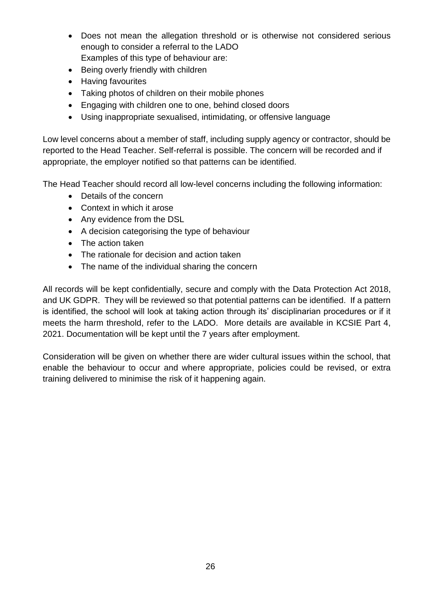- Does not mean the allegation threshold or is otherwise not considered serious enough to consider a referral to the LADO Examples of this type of behaviour are:
- Being overly friendly with children
- Having favourites
- Taking photos of children on their mobile phones
- Engaging with children one to one, behind closed doors
- Using inappropriate sexualised, intimidating, or offensive language

Low level concerns about a member of staff, including supply agency or contractor, should be reported to the Head Teacher. Self-referral is possible. The concern will be recorded and if appropriate, the employer notified so that patterns can be identified.

The Head Teacher should record all low-level concerns including the following information:

- Details of the concern
- Context in which it arose
- Any evidence from the DSL
- A decision categorising the type of behaviour
- The action taken
- The rationale for decision and action taken
- The name of the individual sharing the concern

All records will be kept confidentially, secure and comply with the Data Protection Act 2018, and UK GDPR. They will be reviewed so that potential patterns can be identified. If a pattern is identified, the school will look at taking action through its' disciplinarian procedures or if it meets the harm threshold, refer to the LADO. More details are available in KCSIE Part 4, 2021. Documentation will be kept until the 7 years after employment.

Consideration will be given on whether there are wider cultural issues within the school, that enable the behaviour to occur and where appropriate, policies could be revised, or extra training delivered to minimise the risk of it happening again.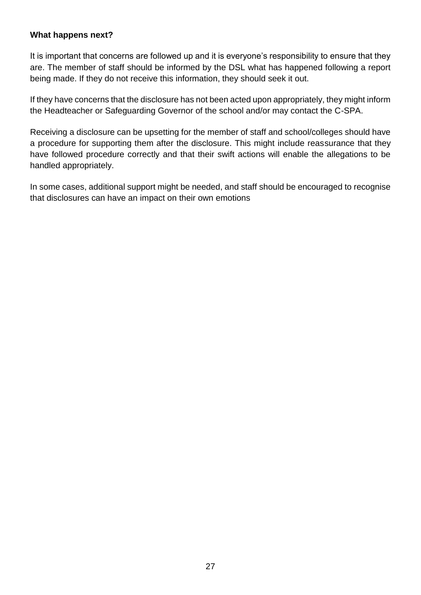#### **What happens next?**

It is important that concerns are followed up and it is everyone's responsibility to ensure that they are. The member of staff should be informed by the DSL what has happened following a report being made. If they do not receive this information, they should seek it out.

If they have concerns that the disclosure has not been acted upon appropriately, they might inform the Headteacher or Safeguarding Governor of the school and/or may contact the C-SPA.

Receiving a disclosure can be upsetting for the member of staff and school/colleges should have a procedure for supporting them after the disclosure. This might include reassurance that they have followed procedure correctly and that their swift actions will enable the allegations to be handled appropriately.

In some cases, additional support might be needed, and staff should be encouraged to recognise that disclosures can have an impact on their own emotions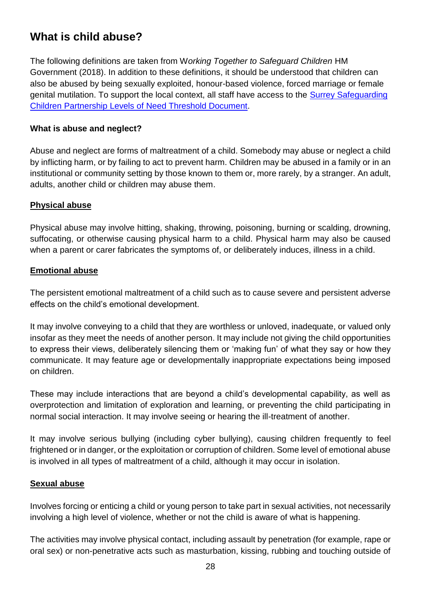## **What is child abuse?**

The following definitions are taken from W*orking Together to Safeguard Children* HM Government (2018). In addition to these definitions, it should be understood that children can also be abused by being sexually exploited, honour-based violence, forced marriage or female genital mutilation. To support the local context, all staff have access to the [Surrey Safeguarding](https://www.surreyscb.org.uk/wp-content/uploads/2018/12/Effective-family-resilience-SSCB-Final-March-2019-1.pdf)  Children Partnership [Levels of Need Threshold Document.](https://www.surreyscb.org.uk/wp-content/uploads/2018/12/Effective-family-resilience-SSCB-Final-March-2019-1.pdf)

#### **What is abuse and neglect?**

Abuse and neglect are forms of maltreatment of a child. Somebody may abuse or neglect a child by inflicting harm, or by failing to act to prevent harm. Children may be abused in a family or in an institutional or community setting by those known to them or, more rarely, by a stranger. An adult, adults, another child or children may abuse them.

#### **Physical abuse**

Physical abuse may involve hitting, shaking, throwing, poisoning, burning or scalding, drowning, suffocating, or otherwise causing physical harm to a child. Physical harm may also be caused when a parent or carer fabricates the symptoms of, or deliberately induces, illness in a child.

#### **Emotional abuse**

The persistent emotional maltreatment of a child such as to cause severe and persistent adverse effects on the child's emotional development.

It may involve conveying to a child that they are worthless or unloved, inadequate, or valued only insofar as they meet the needs of another person. It may include not giving the child opportunities to express their views, deliberately silencing them or 'making fun' of what they say or how they communicate. It may feature age or developmentally inappropriate expectations being imposed on children.

These may include interactions that are beyond a child's developmental capability, as well as overprotection and limitation of exploration and learning, or preventing the child participating in normal social interaction. It may involve seeing or hearing the ill-treatment of another.

It may involve serious bullying (including cyber bullying), causing children frequently to feel frightened or in danger, or the exploitation or corruption of children. Some level of emotional abuse is involved in all types of maltreatment of a child, although it may occur in isolation.

#### **Sexual abuse**

Involves forcing or enticing a child or young person to take part in sexual activities, not necessarily involving a high level of violence, whether or not the child is aware of what is happening.

The activities may involve physical contact, including assault by penetration (for example, rape or oral sex) or non-penetrative acts such as masturbation, kissing, rubbing and touching outside of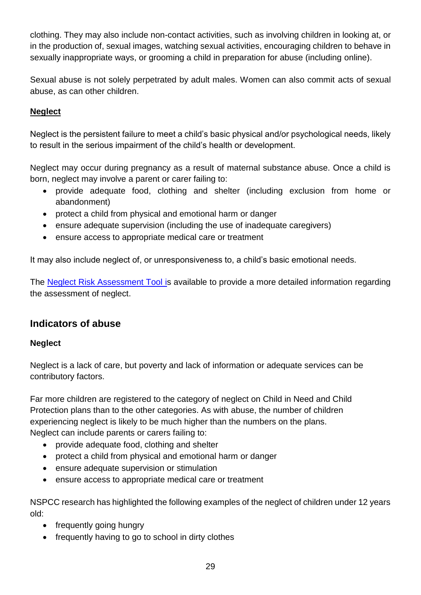clothing. They may also include non-contact activities, such as involving children in looking at, or in the production of, sexual images, watching sexual activities, encouraging children to behave in sexually inappropriate ways, or grooming a child in preparation for abuse (including online).

Sexual abuse is not solely perpetrated by adult males. Women can also commit acts of sexual abuse, as can other children.

#### **Neglect**

Neglect is the persistent failure to meet a child's basic physical and/or psychological needs, likely to result in the serious impairment of the child's health or development.

Neglect may occur during pregnancy as a result of maternal substance abuse. Once a child is born, neglect may involve a parent or carer failing to:

- provide adequate food, clothing and shelter (including exclusion from home or abandonment)
- protect a child from physical and emotional harm or danger
- ensure adequate supervision (including the use of inadequate caregivers)
- ensure access to appropriate medical care or treatment

It may also include neglect of, or unresponsiveness to, a child's basic emotional needs.

The [Neglect Risk Assessment Tool is](https://www.surreyscb.org.uk/resources-category/sscbmultiagencyforms/) available to provide a more detailed information regarding the assessment of neglect.

## **Indicators of abuse**

#### **Neglect**

Neglect is a lack of care, but poverty and lack of information or adequate services can be contributory factors.

Far more children are registered to the category of neglect on Child in Need and Child Protection plans than to the other categories. As with abuse, the number of children experiencing neglect is likely to be much higher than the numbers on the plans. Neglect can include parents or carers failing to:

- provide adequate food, clothing and shelter
- protect a child from physical and emotional harm or danger
- ensure adequate supervision or stimulation
- ensure access to appropriate medical care or treatment

NSPCC research has highlighted the following examples of the neglect of children under 12 years old:

- frequently going hungry
- frequently having to go to school in dirty clothes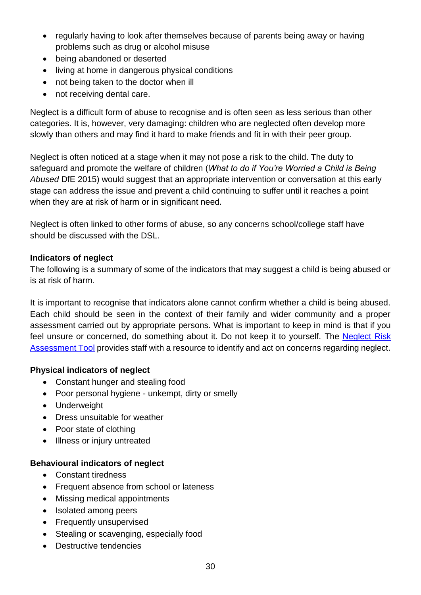- regularly having to look after themselves because of parents being away or having problems such as drug or alcohol misuse
- being abandoned or deserted
- living at home in dangerous physical conditions
- not being taken to the doctor when ill
- not receiving dental care.

Neglect is a difficult form of abuse to recognise and is often seen as less serious than other categories. It is, however, very damaging: children who are neglected often develop more slowly than others and may find it hard to make friends and fit in with their peer group.

Neglect is often noticed at a stage when it may not pose a risk to the child. The duty to safeguard and promote the welfare of children (*What to do if You're Worried a Child is Being Abused* DfE 2015) would suggest that an appropriate intervention or conversation at this early stage can address the issue and prevent a child continuing to suffer until it reaches a point when they are at risk of harm or in significant need.

Neglect is often linked to other forms of abuse, so any concerns school/college staff have should be discussed with the DSL.

#### **Indicators of neglect**

The following is a summary of some of the indicators that may suggest a child is being abused or is at risk of harm.

It is important to recognise that indicators alone cannot confirm whether a child is being abused. Each child should be seen in the context of their family and wider community and a proper assessment carried out by appropriate persons. What is important to keep in mind is that if you feel unsure or concerned, do something about it. Do not keep it to yourself. The [Neglect Risk](https://www.surreyscb.org.uk/resources-category/sscbmultiagencyforms/)  [Assessment Tool](https://www.surreyscb.org.uk/resources-category/sscbmultiagencyforms/) provides staff with a resource to identify and act on concerns regarding neglect.

#### **Physical indicators of neglect**

- Constant hunger and stealing food
- Poor personal hygiene unkempt, dirty or smelly
- Underweight
- Dress unsuitable for weather
- Poor state of clothing
- Illness or injury untreated

#### **Behavioural indicators of neglect**

- Constant tiredness
- Frequent absence from school or lateness
- Missing medical appointments
- Isolated among peers
- Frequently unsupervised
- Stealing or scavenging, especially food
- Destructive tendencies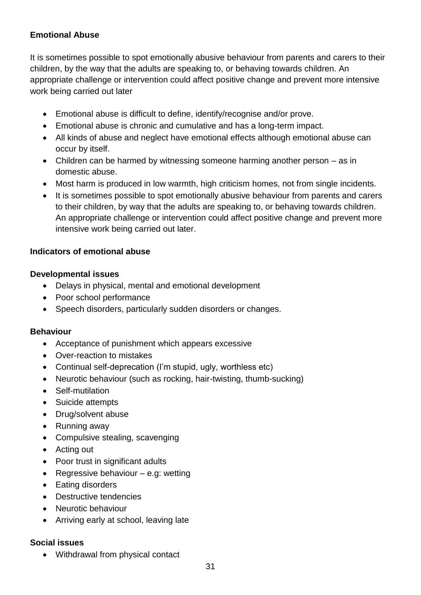#### **Emotional Abuse**

It is sometimes possible to spot emotionally abusive behaviour from parents and carers to their children, by the way that the adults are speaking to, or behaving towards children. An appropriate challenge or intervention could affect positive change and prevent more intensive work being carried out later

- Emotional abuse is difficult to define, identify/recognise and/or prove.
- Emotional abuse is chronic and cumulative and has a long-term impact.
- All kinds of abuse and neglect have emotional effects although emotional abuse can occur by itself.
- Children can be harmed by witnessing someone harming another person as in domestic abuse.
- Most harm is produced in low warmth, high criticism homes, not from single incidents.
- It is sometimes possible to spot emotionally abusive behaviour from parents and carers to their children, by way that the adults are speaking to, or behaving towards children. An appropriate challenge or intervention could affect positive change and prevent more intensive work being carried out later.

#### **Indicators of emotional abuse**

#### **Developmental issues**

- Delays in physical, mental and emotional development
- Poor school performance
- Speech disorders, particularly sudden disorders or changes.

#### **Behaviour**

- Acceptance of punishment which appears excessive
- Over-reaction to mistakes
- Continual self-deprecation (I'm stupid, ugly, worthless etc)
- Neurotic behaviour (such as rocking, hair-twisting, thumb-sucking)
- Self-mutilation
- Suicide attempts
- Drug/solvent abuse
- Running away
- Compulsive stealing, scavenging
- Acting out
- Poor trust in significant adults
- Regressive behaviour  $-$  e.g: wetting
- Eating disorders
- Destructive tendencies
- Neurotic behaviour
- Arriving early at school, leaving late

#### **Social issues**

Withdrawal from physical contact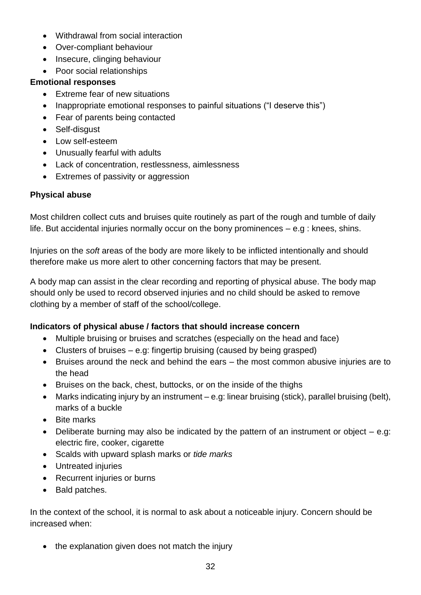- Withdrawal from social interaction
- Over-compliant behaviour
- Insecure, clinging behaviour
- Poor social relationships

#### **Emotional responses**

- Extreme fear of new situations
- Inappropriate emotional responses to painful situations ("I deserve this")
- Fear of parents being contacted
- Self-disgust
- Low self-esteem
- Unusually fearful with adults
- Lack of concentration, restlessness, aimlessness
- Extremes of passivity or aggression

## **Physical abuse**

Most children collect cuts and bruises quite routinely as part of the rough and tumble of daily life. But accidental injuries normally occur on the bony prominences – e.g : knees, shins.

Injuries on the *soft* areas of the body are more likely to be inflicted intentionally and should therefore make us more alert to other concerning factors that may be present.

A body map can assist in the clear recording and reporting of physical abuse. The body map should only be used to record observed injuries and no child should be asked to remove clothing by a member of staff of the school/college.

## **Indicators of physical abuse / factors that should increase concern**

- Multiple bruising or bruises and scratches (especially on the head and face)
- Clusters of bruises  $-$  e.g: fingertip bruising (caused by being grasped)
- Bruises around the neck and behind the ears the most common abusive injuries are to the head
- Bruises on the back, chest, buttocks, or on the inside of the thighs
- Marks indicating injury by an instrument e.g: linear bruising (stick), parallel bruising (belt), marks of a buckle
- Bite marks
- $\bullet$  Deliberate burning may also be indicated by the pattern of an instrument or object  $-$  e.g: electric fire, cooker, cigarette
- Scalds with upward splash marks or *tide marks*
- Untreated injuries
- Recurrent injuries or burns
- Bald patches.

In the context of the school, it is normal to ask about a noticeable injury. Concern should be increased when:

• the explanation given does not match the injury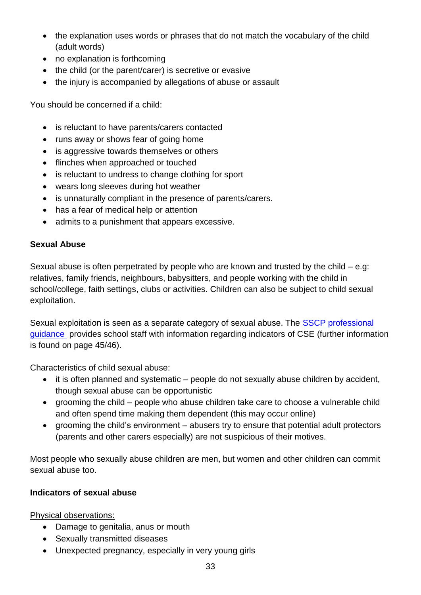- the explanation uses words or phrases that do not match the vocabulary of the child (adult words)
- no explanation is forthcoming
- the child (or the parent/carer) is secretive or evasive
- the injury is accompanied by allegations of abuse or assault

You should be concerned if a child:

- is reluctant to have parents/carers contacted
- runs away or shows fear of going home
- is aggressive towards themselves or others
- flinches when approached or touched
- is reluctant to undress to change clothing for sport
- wears long sleeves during hot weather
- is unnaturally compliant in the presence of parents/carers.
- has a fear of medical help or attention
- admits to a punishment that appears excessive.

#### **Sexual Abuse**

Sexual abuse is often perpetrated by people who are known and trusted by the child – e.g: relatives, family friends, neighbours, babysitters, and people working with the child in school/college, faith settings, clubs or activities. Children can also be subject to child sexual exploitation.

Sexual exploitation is seen as a separate category of sexual abuse. The SSCP professional [guidance](https://www.surreyscp.org.uk/resources-category/cse/) provides school staff with information regarding indicators of CSE (further information is found on page 45/46).

Characteristics of child sexual abuse:

- it is often planned and systematic people do not sexually abuse children by accident, though sexual abuse can be opportunistic
- grooming the child people who abuse children take care to choose a vulnerable child and often spend time making them dependent (this may occur online)
- grooming the child's environment abusers try to ensure that potential adult protectors (parents and other carers especially) are not suspicious of their motives.

Most people who sexually abuse children are men, but women and other children can commit sexual abuse too.

#### **Indicators of sexual abuse**

Physical observations:

- Damage to genitalia, anus or mouth
- Sexually transmitted diseases
- Unexpected pregnancy, especially in very young girls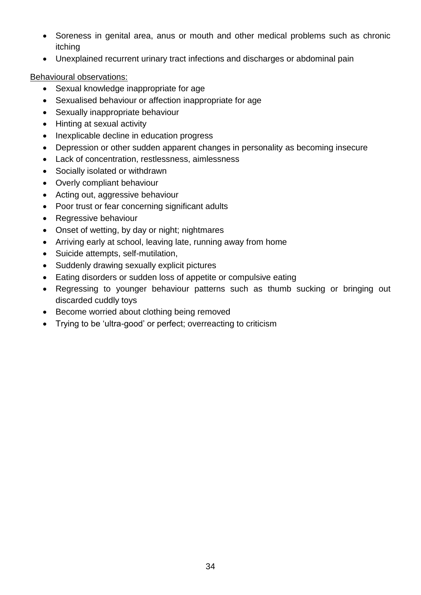- Soreness in genital area, anus or mouth and other medical problems such as chronic itching
- Unexplained recurrent urinary tract infections and discharges or abdominal pain

#### Behavioural observations:

- Sexual knowledge inappropriate for age
- Sexualised behaviour or affection inappropriate for age
- Sexually inappropriate behaviour
- Hinting at sexual activity
- Inexplicable decline in education progress
- Depression or other sudden apparent changes in personality as becoming insecure
- Lack of concentration, restlessness, aimlessness
- Socially isolated or withdrawn
- Overly compliant behaviour
- Acting out, aggressive behaviour
- Poor trust or fear concerning significant adults
- Regressive behaviour
- Onset of wetting, by day or night; nightmares
- Arriving early at school, leaving late, running away from home
- Suicide attempts, self-mutilation,
- Suddenly drawing sexually explicit pictures
- Eating disorders or sudden loss of appetite or compulsive eating
- Regressing to younger behaviour patterns such as thumb sucking or bringing out discarded cuddly toys
- Become worried about clothing being removed
- Trying to be 'ultra-good' or perfect; overreacting to criticism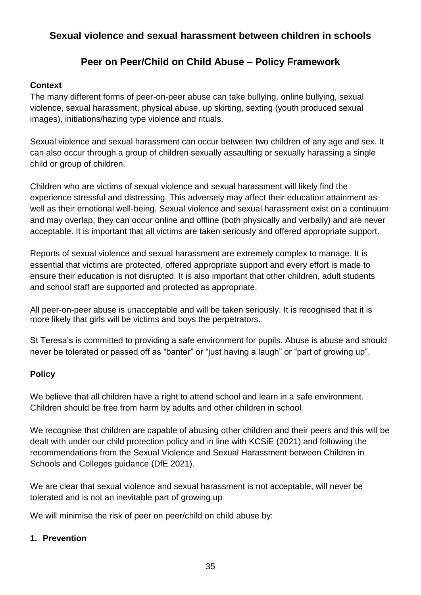## **Sexual violence and sexual harassment between children in schools**

## **Peer on Peer/Child on Child Abuse – Policy Framework**

#### **Context**

The many different forms of peer-on-peer abuse can take bullying, online bullying, sexual violence, sexual harassment, physical abuse, up skirting, sexting (youth produced sexual images), initiations/hazing type violence and rituals.

Sexual violence and sexual harassment can occur between two children of any age and sex. It can also occur through a group of children sexually assaulting or sexually harassing a single child or group of children.

Children who are victims of sexual violence and sexual harassment will likely find the experience stressful and distressing. This adversely may affect their education attainment as well as their emotional well-being. Sexual violence and sexual harassment exist on a continuum and may overlap; they can occur online and offline (both physically and verbally) and are never acceptable. It is important that all victims are taken seriously and offered appropriate support.

Reports of sexual violence and sexual harassment are extremely complex to manage. It is essential that victims are protected, offered appropriate support and every effort is made to ensure their education is not disrupted. It is also important that other children, adult students and school staff are supported and protected as appropriate.

All peer-on-peer abuse is unacceptable and will be taken seriously. It is recognised that it is more likely that girls will be victims and boys the perpetrators.

St Teresa's is committed to providing a safe environment for pupils. Abuse is abuse and should never be tolerated or passed off as "banter" or "just having a laugh" or "part of growing up".

#### **Policy**

We believe that all children have a right to attend school and learn in a safe environment. Children should be free from harm by adults and other children in school

We recognise that children are capable of abusing other children and their peers and this will be dealt with under our child protection policy and in line with KCSiE (2021) and following the recommendations from the Sexual Violence and Sexual Harassment between Children in Schools and Colleges guidance (DfE 2021).

We are clear that sexual violence and sexual harassment is not acceptable, will never be tolerated and is not an inevitable part of growing up

We will minimise the risk of peer on peer/child on child abuse by:

#### **1. Prevention**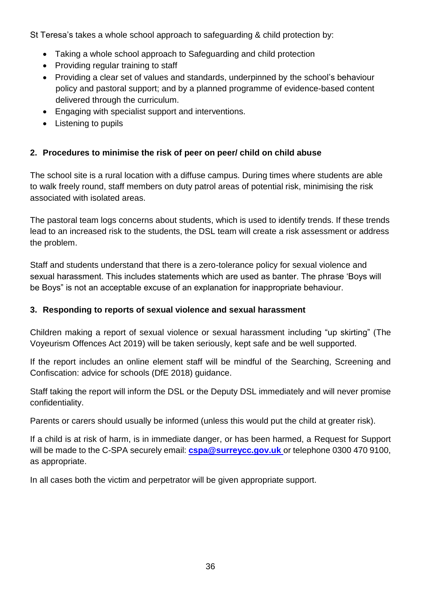St Teresa's takes a whole school approach to safeguarding & child protection by:

- Taking a whole school approach to Safeguarding and child protection
- Providing regular training to staff
- Providing a clear set of values and standards, underpinned by the school's behaviour policy and pastoral support; and by a planned programme of evidence-based content delivered through the curriculum.
- Engaging with specialist support and interventions.
- Listening to pupils

#### **2. Procedures to minimise the risk of peer on peer/ child on child abuse**

The school site is a rural location with a diffuse campus. During times where students are able to walk freely round, staff members on duty patrol areas of potential risk, minimising the risk associated with isolated areas.

The pastoral team logs concerns about students, which is used to identify trends. If these trends lead to an increased risk to the students, the DSL team will create a risk assessment or address the problem.

Staff and students understand that there is a zero-tolerance policy for sexual violence and sexual harassment. This includes statements which are used as banter. The phrase 'Boys will be Boys" is not an acceptable excuse of an explanation for inappropriate behaviour.

#### **3. Responding to reports of sexual violence and sexual harassment**

Children making a report of sexual violence or sexual harassment including "up skirting" (The Voyeurism Offences Act 2019) will be taken seriously, kept safe and be well supported.

If the report includes an online element staff will be mindful of the Searching, Screening and Confiscation: advice for schools (DfE 2018) guidance.

Staff taking the report will inform the DSL or the Deputy DSL immediately and will never promise confidentiality.

Parents or carers should usually be informed (unless this would put the child at greater risk).

If a child is at risk of harm, is in immediate danger, or has been harmed, a Request for Support will be made to the C-SPA securely email: **[cspa@surreycc.gov.uk](mailto:cspa@surreycc.gov.uk)** or telephone 0300 470 9100, as appropriate.

In all cases both the victim and perpetrator will be given appropriate support.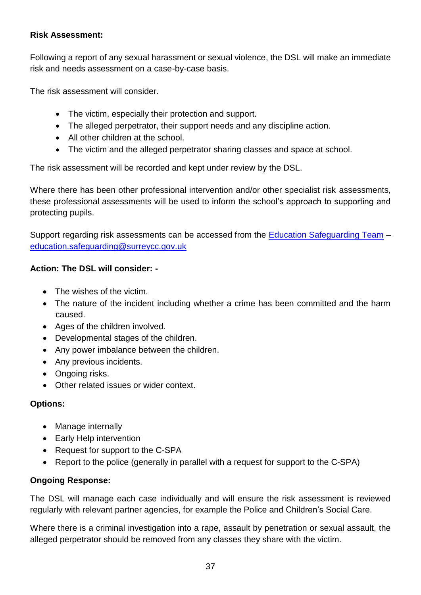#### **Risk Assessment:**

Following a report of any sexual harassment or sexual violence, the DSL will make an immediate risk and needs assessment on a case-by-case basis.

The risk assessment will consider.

- The victim, especially their protection and support.
- The alleged perpetrator, their support needs and any discipline action.
- All other children at the school.
- The victim and the alleged perpetrator sharing classes and space at school.

The risk assessment will be recorded and kept under review by the DSL.

Where there has been other professional intervention and/or other specialist risk assessments, these professional assessments will be used to inform the school's approach to supporting and protecting pupils.

Support regarding risk assessments can be accessed from the **Education Safeguarding Team** – [education.safeguarding@surreycc.gov.uk](mailto:education.safeguarding@surreycc.gov.uk)

#### **Action: The DSL will consider: -**

- The wishes of the victim.
- The nature of the incident including whether a crime has been committed and the harm caused.
- Ages of the children involved.
- Developmental stages of the children.
- Any power imbalance between the children.
- Any previous incidents.
- Ongoing risks.
- Other related issues or wider context.

#### **Options:**

- Manage internally
- Early Help intervention
- Request for support to the C-SPA
- Report to the police (generally in parallel with a request for support to the C-SPA)

#### **Ongoing Response:**

The DSL will manage each case individually and will ensure the risk assessment is reviewed regularly with relevant partner agencies, for example the Police and Children's Social Care.

Where there is a criminal investigation into a rape, assault by penetration or sexual assault, the alleged perpetrator should be removed from any classes they share with the victim.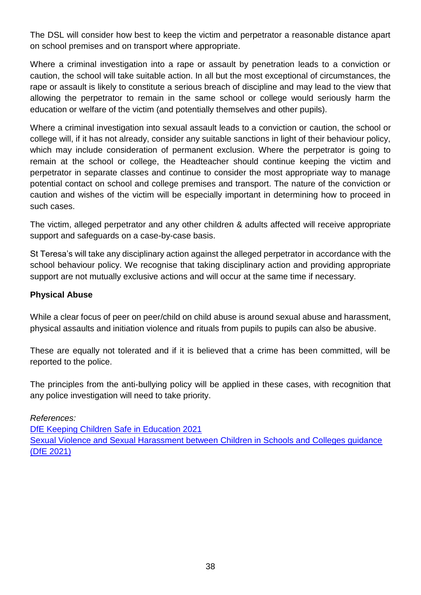The DSL will consider how best to keep the victim and perpetrator a reasonable distance apart on school premises and on transport where appropriate.

Where a criminal investigation into a rape or assault by penetration leads to a conviction or caution, the school will take suitable action. In all but the most exceptional of circumstances, the rape or assault is likely to constitute a serious breach of discipline and may lead to the view that allowing the perpetrator to remain in the same school or college would seriously harm the education or welfare of the victim (and potentially themselves and other pupils).

Where a criminal investigation into sexual assault leads to a conviction or caution, the school or college will, if it has not already, consider any suitable sanctions in light of their behaviour policy, which may include consideration of permanent exclusion. Where the perpetrator is going to remain at the school or college, the Headteacher should continue keeping the victim and perpetrator in separate classes and continue to consider the most appropriate way to manage potential contact on school and college premises and transport. The nature of the conviction or caution and wishes of the victim will be especially important in determining how to proceed in such cases.

The victim, alleged perpetrator and any other children & adults affected will receive appropriate support and safeguards on a case-by-case basis.

St Teresa's will take any disciplinary action against the alleged perpetrator in accordance with the school behaviour policy. We recognise that taking disciplinary action and providing appropriate support are not mutually exclusive actions and will occur at the same time if necessary.

#### **Physical Abuse**

While a clear focus of peer on peer/child on child abuse is around sexual abuse and harassment, physical assaults and initiation violence and rituals from pupils to pupils can also be abusive.

These are equally not tolerated and if it is believed that a crime has been committed, will be reported to the police.

The principles from the anti-bullying policy will be applied in these cases, with recognition that any police investigation will need to take priority.

#### *References:*

[DfE Keeping Children Safe in Education 2021](https://www.gov.uk/government/publications/keeping-children-safe-in-education--2) [Sexual Violence and Sexual Harassment between Children in Schools and Colleges guidance](https://www.gov.uk/government/publications/sexual-violence-and-sexual-harassment-between-children-in-schools-and-collegesBe)  [\(DfE 2021\)](https://www.gov.uk/government/publications/sexual-violence-and-sexual-harassment-between-children-in-schools-and-collegesBe)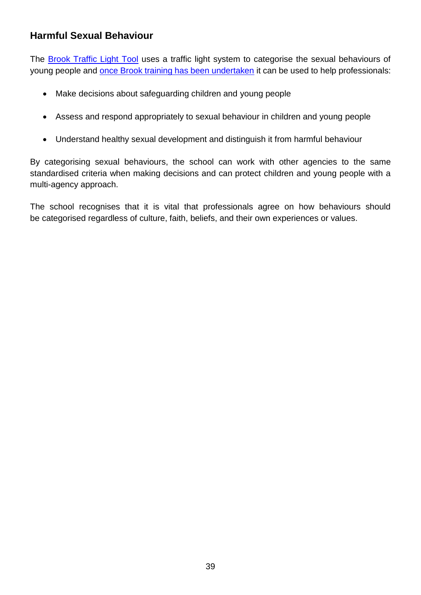## **Harmful Sexual Behaviour**

The [Brook Traffic Light Tool](https://www.brook.org.uk/our-work/the-sexual-behaviours-traffic-light-tool) uses a traffic light system to categorise the sexual behaviours of young people and [once Brook training has been undertaken](https://www.brook.org.uk/training/wider-professional-training/sexual-behaviours-traffic-light-tool/#tlttraining) it can be used to help professionals:

- Make decisions about safeguarding children and young people
- Assess and respond appropriately to sexual behaviour in children and young people
- Understand healthy sexual development and distinguish it from harmful behaviour

By categorising sexual behaviours, the school can work with other agencies to the same standardised criteria when making decisions and can protect children and young people with a multi-agency approach.

The school recognises that it is vital that professionals agree on how behaviours should be categorised regardless of culture, faith, beliefs, and their own experiences or values.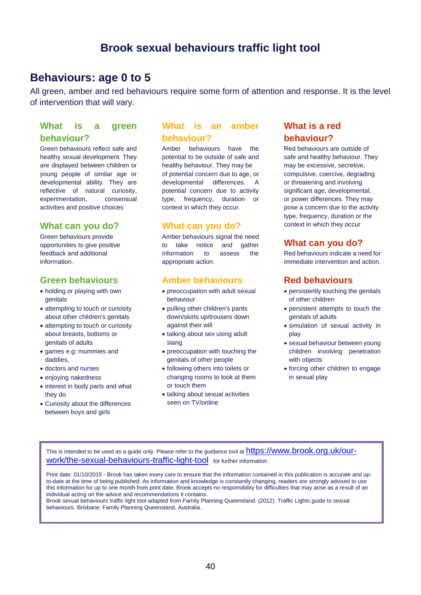## **Brook sexual behaviours traffic light tool**

## **Behaviours: age 0 to 5**

All green, amber and red behaviours require some form of attention and response. It is the level of intervention that will vary.

#### **What is a green behaviour?**

Green behaviours reflect safe and healthy sexual development. They are displayed between children or young people of similar age or developmental ability. They are reflective of natural curiosity, experimentation. consensual activities and positive choices

#### **What can you do?**

Green behaviours provide opportunities to give positive feedback and additional information.

#### **Green behaviours**

- holding or playing with own genitals
- attempting to touch or curiosity about other children's genitals
- attempting to touch or curiosity about breasts, bottoms or genitals of adults
- games e.g: mummies and daddies,
- doctors and nurses
- enjoying nakedness
- interest in body parts and what they do
- Curiosity about the differences between boys and girls

#### **What is an amber behaviour?**

Amber behaviours have the potential to be outside of safe and healthy behaviour. They may be of potential concern due to age, or developmental differences. potential concern due to activity type, frequency, duration or context in which they occur.

#### **What can you do?**

Amber behaviours signal the need to take notice and gather information to assess the appropriate action.

#### **Amber behaviours**

- preoccupation with adult sexual behaviour
- pulling other children's pants down/skirts up/trousers down against their will
- talking about sex using adult slang
- preoccupation with touching the genitals of other people
- following others into toilets or changing rooms to look at them or touch them
- talking about sexual activities seen on TV/online

#### **What is a red behaviour?**

Red behaviours are outside of safe and healthy behaviour. They may be excessive, secretive, compulsive, coercive, degrading or threatening and involving significant age, developmental, or power differences. They may pose a concern due to the activity type, frequency, duration or the context in which they occur

#### **What can you do?**

Red behaviours indicate a need for immediate intervention and action.

#### **Red behaviours**

- persistently touching the genitals of other children
- persistent attempts to touch the genitals of adults
- simulation of sexual activity in play
- sexual behaviour between young children involving penetration with objects
- forcing other children to engage in sexual play

This is intended to be used as a guide only. Please refer to the guidance tool at **[https://www.brook.org.uk/our](https://www.brook.org.uk/our-work/the-sexual-behaviours-traffic-light-tool)**[work/the-sexual-behaviours-traffic-light-tool](https://www.brook.org.uk/our-work/the-sexual-behaviours-traffic-light-tool) for further information

Print date: 01/10/2015 - Brook has taken every care to ensure that the information contained in this publication is accurate and upto-date at the time of being published. As information and knowledge is constantly changing, readers are strongly advised to use this information for up to one month from print date. Brook accepts no responsibility for difficulties that may arise as a result of an individual acting on the advice and recommendations it contains.

Brook sexual behaviours traffic light tool adapted from Family Planning Queensland. (2012). Traffic Lights guide to sexual behaviours. Brisbane: Family Planning Queensland, Australia.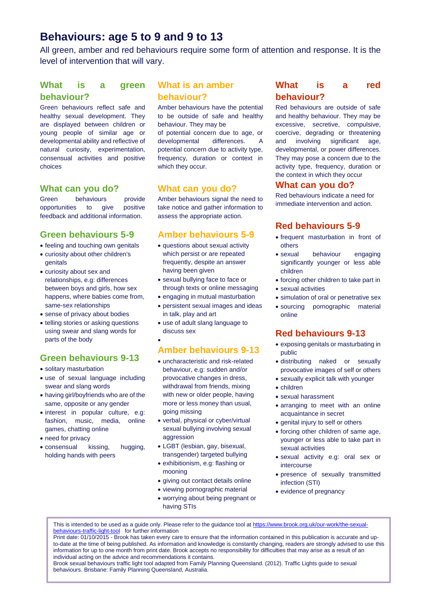## **Behaviours: age 5 to 9 and 9 to 13**

All green, amber and red behaviours require some form of attention and response. It is the level of intervention that will vary.

#### **What is a green behaviour?**

Green behaviours reflect safe and healthy sexual development. They are displayed between children or young people of similar age or developmental ability and reflective of natural curiosity, experimentation, consensual activities and positive choices

#### **What can you do?**

Green behaviours provide opportunities to give positive feedback and additional information.

#### **Green behaviours 5-9**

- feeling and touching own genitals
- curiosity about other children's genitals
- curiosity about sex and relationships, e.g: differences between boys and girls, how sex happens, where babies come from, same-sex relationships
- sense of privacy about bodies
- telling stories or asking questions using swear and slang words for parts of the body

#### **Green behaviours 9-13**

- solitary masturbation
- use of sexual language including swear and slang words
- having girl/boyfriends who are of the same, opposite or any gender
- interest in popular culture, e.g: fashion, music, media, online games, chatting online
- need for privacy
- consensual kissing, hugging, holding hands with peers

#### **What is an amber behaviour?**

Amber behaviours have the potential to be outside of safe and healthy behaviour. They may be of potential concern due to age, or developmental differences. A potential concern due to activity type, frequency, duration or context in which they occur.

#### **What can you do?**

Amber behaviours signal the need to take notice and gather information to assess the appropriate action.

#### **Amber behaviours 5-9**

- questions about sexual activity which persist or are repeated frequently, despite an answer having been given
- sexual bullying face to face or through texts or online messaging
- engaging in mutual masturbation
- persistent sexual images and ideas in talk, play and art
- use of adult slang language to discuss sex
- $\bullet$

#### **Amber behaviours 9-13**

- uncharacteristic and risk-related behaviour, e.g: sudden and/or provocative changes in dress, withdrawal from friends, mixing with new or older people, having more or less money than usual, going missing
- verbal, physical or cyber/virtual sexual bullying involving sexual aggression
- LGBT (lesbian, gay, bisexual, transgender) targeted bullying
- exhibitionism, e.g: flashing or mooning
- giving out contact details online
- viewing pornographic material
- worrying about being pregnant or having STIs

#### **What is a red behaviour?**

Red behaviours are outside of safe and healthy behaviour. They may be excessive, secretive, compulsive, coercive, degrading or threatening and involving significant age, developmental, or power differences. They may pose a concern due to the activity type, frequency, duration or the context in which they occur

#### **What can you do?**

Red behaviours indicate a need for immediate intervention and action.

#### **Red behaviours 5-9**

- frequent masturbation in front of others
- sexual behaviour engaging significantly younger or less able children
- forcing other children to take part in
- sexual activities
- simulation of oral or penetrative sex
- sourcing pornographic material online

#### **Red behaviours 9-13**

- exposing genitals or masturbating in public
- distributing naked or sexually provocative images of self or others
- sexually explicit talk with younger
- children
- sexual harassment
- arranging to meet with an online acquaintance in secret
- genital injury to self or others
- forcing other children of same age, younger or less able to take part in sexual activities
- sexual activity e.g: oral sex or intercourse
- presence of sexually transmitted infection (STI)
- evidence of pregnancy

This is intended to be used as a guide only. Please refer to the guidance tool a[t https://www.brook.org.uk/our-work/the-sexual](https://www.brook.org.uk/our-work/the-sexual-behaviours-traffic-light-tool)[behaviours-traffic-light-tool](https://www.brook.org.uk/our-work/the-sexual-behaviours-traffic-light-tool) for further information Print date: 01/10/2015 - Brook has taken every care to ensure that the information contained in this publication is accurate and up-

information for up to one month non-pint date: Brook decepto in to-date at the time of being published. As information and knowledge is constantly changing, readers are strongly advised to use this information for up to one month from print date. Brook accepts no responsibility for difficulties that may arise as a result of an

Brook sexual behaviours traffic light tool adapted from Family Planning Queensland. (2012). Traffic Lights guide to sexual behaviours. Brisbane: Family Planning Queensland, Australia.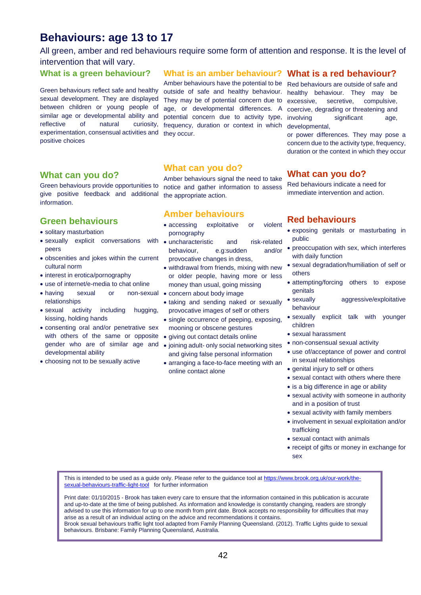## **Behaviours: age 13 to 17**

All green, amber and red behaviours require some form of attention and response. It is the level of intervention that will vary.

> Amber behaviours have the potential to be outside of safe and healthy behaviour. They may be of potential concern due to age, or developmental differences. A potential concern due to activity type, frequency, duration or context in which

#### **What is a green behaviour?**

Green behaviours reflect safe and healthy sexual development. They are displayed between children or young people of similar age or developmental ability and reflective of natural curiosity, experimentation, consensual activities and positive choices

#### **What can you do?**

Green behaviours provide opportunities to give positive feedback and additional information.

#### **Green behaviours**

- solitary masturbation
- sexually explicit conversations with peers
- obscenities and jokes within the current cultural norm
- interest in erotica/pornography
- use of internet/e-media to chat online
- having sexual or non-sexual relationships
- sexual activity including hugging, kissing, holding hands
- consenting oral and/or penetrative sex with others of the same or opposite gender who are of similar age and developmental ability
- choosing not to be sexually active

they occur.

**What can you do?** Amber behaviours signal the need to take notice and gather information to assess the appropriate action.

#### **Amber behaviours**

- accessing exploitative or violent pornography
- uncharacteristic and risk-related behaviour, e.g:sudden and/or provocative changes in dress,
- withdrawal from friends, mixing with new or older people, having more or less money than usual, going missing
- concern about body image
- taking and sending naked or sexually provocative images of self or others
- single occurrence of peeping, exposing, mooning or obscene gestures
- giving out contact details online
- joining adult- only social networking sites and giving false personal information
- arranging a face-to-face meeting with an online contact alone

#### **What is an amber behaviour? What is a red behaviour?**

Red behaviours are outside of safe and healthy behaviour. They may be excessive, secretive, compulsive, coercive, degrading or threatening and involving significant age, developmental,

or power differences. They may pose a concern due to the activity type, frequency, duration or the context in which they occur

#### **What can you do?**

Red behaviours indicate a need for immediate intervention and action.

#### **Red behaviours**

- exposing genitals or masturbating in public
- preoccupation with sex, which interferes with daily function
- sexual degradation/humiliation of self or others
- attempting/forcing others to expose genitals
- sexually aggressive/exploitative behaviour
- sexually explicit talk with younger children
- sexual harassment
- non-consensual sexual activity
- use of/acceptance of power and control in sexual relationships
- genital injury to self or others
- sexual contact with others where there
- is a big difference in age or ability
- sexual activity with someone in authority and in a position of trust
- sexual activity with family members
- involvement in sexual exploitation and/or trafficking
- sexual contact with animals
- receipt of gifts or money in exchange for sex

This is intended to be used as a quide only. Please refer to the quidance tool at [https://www.brook.org.uk/our-work/the](https://www.brook.org.uk/our-work/the-sexual-behaviours-traffic-light-tool)[sexual-behaviours-traffic-light-tool](https://www.brook.org.uk/our-work/the-sexual-behaviours-traffic-light-tool) for further information

Print date: 01/10/2015 - Brook has taken every care to ensure that the information contained in this publication is accurate and up-to-date at the time of being published. As information and knowledge is constantly changing, readers are strongly advised to use this information for up to one month from print date. Brook accepts no responsibility for difficulties that may arise as a result of an individual acting on the advice and recommendations it contains. Brook sexual behaviours traffic light tool adapted from Family Planning Queensland. (2012). Traffic Lights guide to sexual behaviours. Brisbane: Family Planning Queensland, Australia.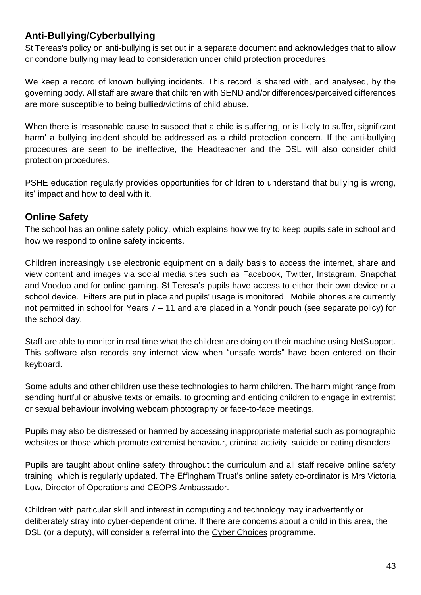## **Anti-Bullying/Cyberbullying**

St Tereas's policy on anti-bullying is set out in a separate document and acknowledges that to allow or condone bullying may lead to consideration under child protection procedures.

We keep a record of known bullying incidents. This record is shared with, and analysed, by the governing body. All staff are aware that children with SEND and/or differences/perceived differences are more susceptible to being bullied/victims of child abuse.

When there is 'reasonable cause to suspect that a child is suffering, or is likely to suffer, significant harm' a bullying incident should be addressed as a child protection concern. If the anti-bullying procedures are seen to be ineffective, the Headteacher and the DSL will also consider child protection procedures.

PSHE education regularly provides opportunities for children to understand that bullying is wrong. its' impact and how to deal with it.

## **Online Safety**

The school has an online safety policy, which explains how we try to keep pupils safe in school and how we respond to online safety incidents.

Children increasingly use electronic equipment on a daily basis to access the internet, share and view content and images via social media sites such as Facebook, Twitter, Instagram, Snapchat and Voodoo and for online gaming. St Teresa's pupils have access to either their own device or a school device. Filters are put in place and pupils' usage is monitored. Mobile phones are currently not permitted in school for Years 7 – 11 and are placed in a Yondr pouch (see separate policy) for the school day.

Staff are able to monitor in real time what the children are doing on their machine using NetSupport. This software also records any internet view when "unsafe words" have been entered on their keyboard.

Some adults and other children use these technologies to harm children. The harm might range from sending hurtful or abusive texts or emails, to grooming and enticing children to engage in extremist or sexual behaviour involving webcam photography or face-to-face meetings.

Pupils may also be distressed or harmed by accessing inappropriate material such as pornographic websites or those which promote extremist behaviour, criminal activity, suicide or eating disorders

Pupils are taught about online safety throughout the curriculum and all staff receive online safety training, which is regularly updated. The Effingham Trust's online safety co-ordinator is Mrs Victoria Low, Director of Operations and CEOPS Ambassador.

Children with particular skill and interest in computing and technology may inadvertently or deliberately stray into cyber-dependent crime. If there are concerns about a child in this area, the DSL (or a deputy), will consider a referral into the [Cyber Choices](http://www.cyberchoices.uk/) programme.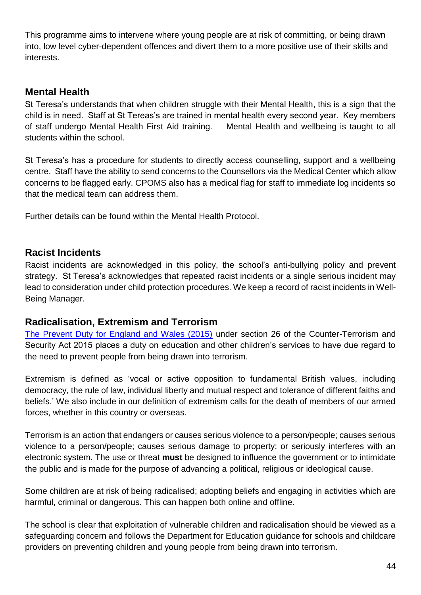This programme aims to intervene where young people are at risk of committing, or being drawn into, low level cyber-dependent offences and divert them to a more positive use of their skills and interests.

## **Mental Health**

St Teresa's understands that when children struggle with their Mental Health, this is a sign that the child is in need. Staff at St Tereas's are trained in mental health every second year. Key members of staff undergo Mental Health First Aid training. Mental Health and wellbeing is taught to all students within the school.

St Teresa's has a procedure for students to directly access counselling, support and a wellbeing centre. Staff have the ability to send concerns to the Counsellors via the Medical Center which allow concerns to be flagged early. CPOMS also has a medical flag for staff to immediate log incidents so that the medical team can address them.

Further details can be found within the Mental Health Protocol.

### **Racist Incidents**

Racist incidents are acknowledged in this policy, the school's anti-bullying policy and prevent strategy. St Teresa's acknowledges that repeated racist incidents or a single serious incident may lead to consideration under child protection procedures. We keep a record of racist incidents in Well-Being Manager.

#### **Radicalisation, Extremism and Terrorism**

[The Prevent Duty for England and Wales \(2015\)](https://www.gov.uk/government/publications/protecting-children-from-radicalisation-the-prevent-duty) under section 26 of the Counter-Terrorism and Security Act 2015 places a duty on education and other children's services to have due regard to the need to prevent people from being drawn into terrorism.

Extremism is defined as 'vocal or active opposition to fundamental British values, including democracy, the rule of law, individual liberty and mutual respect and tolerance of different faiths and beliefs.' We also include in our definition of extremism calls for the death of members of our armed forces, whether in this country or overseas.

Terrorism is an action that endangers or causes serious violence to a person/people; causes serious violence to a person/people; causes serious damage to property; or seriously interferes with an electronic system. The use or threat **must** be designed to influence the government or to intimidate the public and is made for the purpose of advancing a political, religious or ideological cause.

Some children are at risk of being radicalised; adopting beliefs and engaging in activities which are harmful, criminal or dangerous. This can happen both online and offline.

The school is clear that exploitation of vulnerable children and radicalisation should be viewed as a safeguarding concern and follows the Department for Education guidance for schools and childcare providers on preventing children and young people from being drawn into terrorism.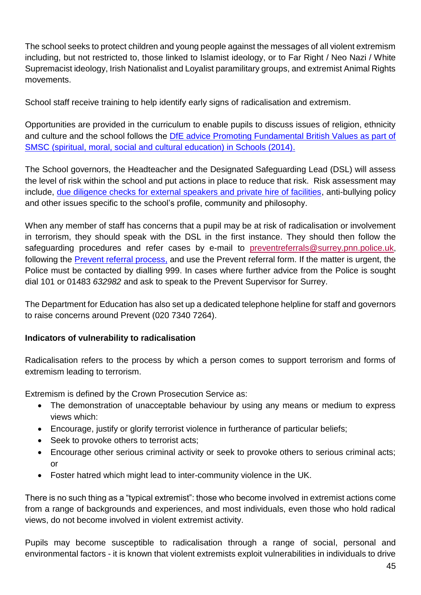The school seeks to protect children and young people against the messages of all violent extremism including, but not restricted to, those linked to Islamist ideology, or to Far Right / Neo Nazi / White Supremacist ideology, Irish Nationalist and Loyalist paramilitary groups, and extremist Animal Rights movements.

School staff receive training to help identify early signs of radicalisation and extremism.

Opportunities are provided in the curriculum to enable pupils to discuss issues of religion, ethnicity and culture and the school follows the [DfE advice Promoting Fundamental British Values as part of](https://www.gov.uk/government/news/guidance-on-promoting-british-values-in-schools-published)  [SMSC \(spiritual, moral, social and cultural education\) in Schools \(2014\).](https://www.gov.uk/government/news/guidance-on-promoting-british-values-in-schools-published)

The School governors, the Headteacher and the Designated Safeguarding Lead (DSL) will assess the level of risk within the school and put actions in place to reduce that risk. Risk assessment may include, [due diligence checks for external speakers and private hire of facilities,](https://www.surreycc.gov.uk/__data/assets/word_doc/0008/154655/Due-diligence-checks-for-External-Speakers-and-Private-Hire-of-Facilities-January-2018.docx) anti-bullying policy and other issues specific to the school's profile, community and philosophy.

When any member of staff has concerns that a pupil may be at risk of radicalisation or involvement in terrorism, they should speak with the DSL in the first instance. They should then follow the safeguarding procedures and refer cases by e-mail to [preventreferrals@surrey.pnn.police.uk](mailto:preventreferrals@surrey.pnn.police.uk), following the [Prevent referral process,](https://www.surreyscb.org.uk/2018/12/16/prevent-referral-process-september-2018/) and use the Prevent referral form. If the matter is urgent, the Police must be contacted by dialling 999. In cases where further advice from the Police is sought dial 101 or 01483 *632982* and ask to speak to the Prevent Supervisor for Surrey.

The Department for Education has also set up a dedicated telephone helpline for staff and governors to raise concerns around Prevent (020 7340 7264).

#### **Indicators of vulnerability to radicalisation**

Radicalisation refers to the process by which a person comes to support terrorism and forms of extremism leading to terrorism.

Extremism is defined by the Crown Prosecution Service as:

- The demonstration of unacceptable behaviour by using any means or medium to express views which:
- Encourage, justify or glorify terrorist violence in furtherance of particular beliefs;
- Seek to provoke others to terrorist acts;
- Encourage other serious criminal activity or seek to provoke others to serious criminal acts; or
- Foster hatred which might lead to inter-community violence in the UK.

There is no such thing as a "typical extremist": those who become involved in extremist actions come from a range of backgrounds and experiences, and most individuals, even those who hold radical views, do not become involved in violent extremist activity.

Pupils may become susceptible to radicalisation through a range of social, personal and environmental factors - it is known that violent extremists exploit vulnerabilities in individuals to drive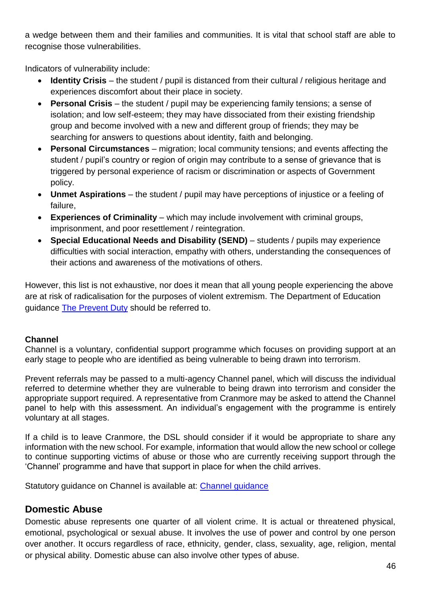a wedge between them and their families and communities. It is vital that school staff are able to recognise those vulnerabilities.

Indicators of vulnerability include:

- **Identity Crisis** the student / pupil is distanced from their cultural / religious heritage and experiences discomfort about their place in society.
- **Personal Crisis** the student / pupil may be experiencing family tensions; a sense of isolation; and low self-esteem; they may have dissociated from their existing friendship group and become involved with a new and different group of friends; they may be searching for answers to questions about identity, faith and belonging.
- **Personal Circumstances** migration; local community tensions; and events affecting the student / pupil's country or region of origin may contribute to a sense of grievance that is triggered by personal experience of racism or discrimination or aspects of Government policy.
- **Unmet Aspirations** the student / pupil may have perceptions of injustice or a feeling of failure,
- **Experiences of Criminality** which may include involvement with criminal groups, imprisonment, and poor resettlement / reintegration.
- **Special Educational Needs and Disability (SEND)** students / pupils may experience difficulties with social interaction, empathy with others, understanding the consequences of their actions and awareness of the motivations of others.

However, this list is not exhaustive, nor does it mean that all young people experiencing the above are at risk of radicalisation for the purposes of violent extremism. The Department of Education guidance [The Prevent Duty](https://www.gov.uk/government/publications/protecting-children-from-radicalisation-the-prevent-duty) should be referred to.

#### **Channel**

Channel is a voluntary, confidential support programme which focuses on providing support at an early stage to people who are identified as being vulnerable to being drawn into terrorism.

Prevent referrals may be passed to a multi-agency Channel panel, which will discuss the individual referred to determine whether they are vulnerable to being drawn into terrorism and consider the appropriate support required. A representative from Cranmore may be asked to attend the Channel panel to help with this assessment. An individual's engagement with the programme is entirely voluntary at all stages.

If a child is to leave Cranmore, the DSL should consider if it would be appropriate to share any information with the new school. For example, information that would allow the new school or college to continue supporting victims of abuse or those who are currently receiving support through the 'Channel' programme and have that support in place for when the child arrives.

Statutory guidance on Channel is available at: [Channel guidance](https://www.gov.uk/government/publications/channel-and-prevent-multi-agency-panel-pmap-guidance)

## **Domestic Abuse**

Domestic abuse represents one quarter of all violent crime. It is actual or threatened physical, emotional, psychological or sexual abuse. It involves the use of power and control by one person over another. It occurs regardless of race, ethnicity, gender, class, sexuality, age, religion, mental or physical ability. Domestic abuse can also involve other types of abuse.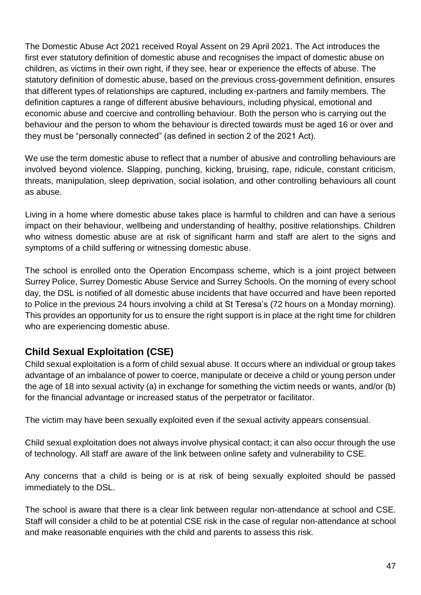The Domestic Abuse Act 2021 received Royal Assent on 29 April 2021. The Act introduces the first ever statutory definition of domestic abuse and recognises the impact of domestic abuse on children, as victims in their own right, if they see, hear or experience the effects of abuse. The statutory definition of domestic abuse, based on the previous cross-government definition, ensures that different types of relationships are captured, including ex-partners and family members. The definition captures a range of different abusive behaviours, including physical, emotional and economic abuse and coercive and controlling behaviour. Both the person who is carrying out the behaviour and the person to whom the behaviour is directed towards must be aged 16 or over and they must be "personally connected" (as defined in section 2 of the 2021 Act).

We use the term domestic abuse to reflect that a number of abusive and controlling behaviours are involved beyond violence. Slapping, punching, kicking, bruising, rape, ridicule, constant criticism, threats, manipulation, sleep deprivation, social isolation, and other controlling behaviours all count as abuse.

Living in a home where domestic abuse takes place is harmful to children and can have a serious impact on their behaviour, wellbeing and understanding of healthy, positive relationships. Children who witness domestic abuse are at risk of significant harm and staff are alert to the signs and symptoms of a child suffering or witnessing domestic abuse.

The school is enrolled onto the Operation Encompass scheme, which is a joint project between Surrey Police, Surrey Domestic Abuse Service and Surrey Schools. On the morning of every school day, the DSL is notified of all domestic abuse incidents that have occurred and have been reported to Police in the previous 24 hours involving a child at St Teresa's (72 hours on a Monday morning). This provides an opportunity for us to ensure the right support is in place at the right time for children who are experiencing domestic abuse.

## **Child Sexual Exploitation (CSE)**

Child sexual exploitation is a form of child sexual abuse. It occurs where an individual or group takes advantage of an imbalance of power to coerce, manipulate or deceive a child or young person under the age of 18 into sexual activity (a) in exchange for something the victim needs or wants, and/or (b) for the financial advantage or increased status of the perpetrator or facilitator.

The victim may have been sexually exploited even if the sexual activity appears consensual.

Child sexual exploitation does not always involve physical contact; it can also occur through the use of technology. All staff are aware of the link between online safety and vulnerability to CSE.

Any concerns that a child is being or is at risk of being sexually exploited should be passed immediately to the DSL.

The school is aware that there is a clear link between regular non-attendance at school and CSE. Staff will consider a child to be at potential CSE risk in the case of regular non-attendance at school and make reasonable enquiries with the child and parents to assess this risk.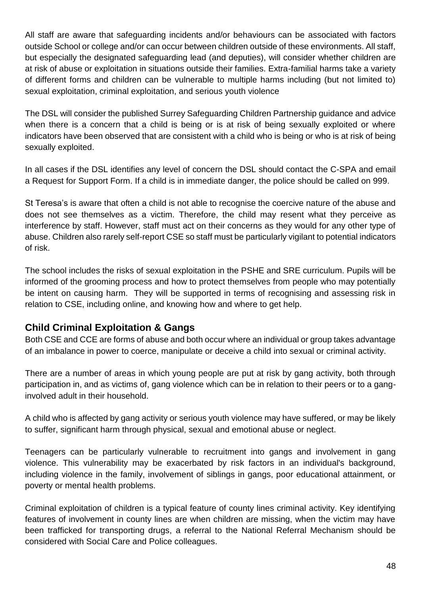All staff are aware that safeguarding incidents and/or behaviours can be associated with factors outside School or college and/or can occur between children outside of these environments. All staff, but especially the designated safeguarding lead (and deputies), will consider whether children are at risk of abuse or exploitation in situations outside their families. Extra-familial harms take a variety of different forms and children can be vulnerable to multiple harms including (but not limited to) sexual exploitation, criminal exploitation, and serious youth violence

The DSL will consider the published Surrey Safeguarding Children Partnership guidance and advice when there is a concern that a child is being or is at risk of being sexually exploited or where indicators have been observed that are consistent with a child who is being or who is at risk of being sexually exploited.

In all cases if the DSL identifies any level of concern the DSL should contact the C-SPA and email a Request for Support Form. If a child is in immediate danger, the police should be called on 999.

St Teresa's is aware that often a child is not able to recognise the coercive nature of the abuse and does not see themselves as a victim. Therefore, the child may resent what they perceive as interference by staff. However, staff must act on their concerns as they would for any other type of abuse. Children also rarely self-report CSE so staff must be particularly vigilant to potential indicators of risk.

The school includes the risks of sexual exploitation in the PSHE and SRE curriculum. Pupils will be informed of the grooming process and how to protect themselves from people who may potentially be intent on causing harm. They will be supported in terms of recognising and assessing risk in relation to CSE, including online, and knowing how and where to get help.

## **Child Criminal Exploitation & Gangs**

Both CSE and CCE are forms of abuse and both occur where an individual or group takes advantage of an imbalance in power to coerce, manipulate or deceive a child into sexual or criminal activity.

There are a number of areas in which young people are put at risk by gang activity, both through participation in, and as victims of, gang violence which can be in relation to their peers or to a ganginvolved adult in their household.

A child who is affected by gang activity or serious youth violence may have suffered, or may be likely to suffer, significant harm through physical, sexual and emotional abuse or neglect.

Teenagers can be particularly vulnerable to recruitment into gangs and involvement in gang violence. This vulnerability may be exacerbated by risk factors in an individual's background, including violence in the family, involvement of siblings in gangs, poor educational attainment, or poverty or mental health problems.

Criminal exploitation of children is a typical feature of county lines criminal activity. Key identifying features of involvement in county lines are when children are missing, when the victim may have been trafficked for transporting drugs, a referral to the National Referral Mechanism should be considered with Social Care and Police colleagues.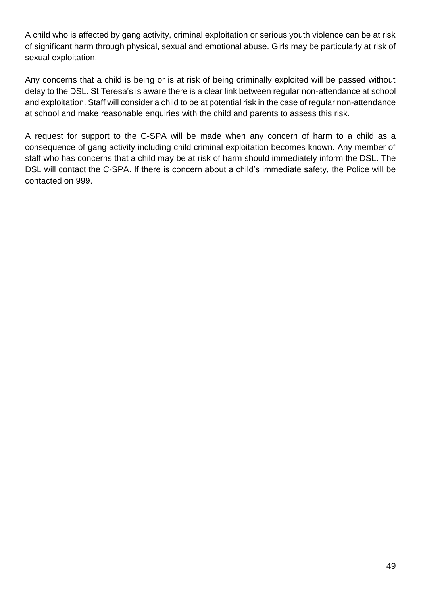A child who is affected by gang activity, criminal exploitation or serious youth violence can be at risk of significant harm through physical, sexual and emotional abuse. Girls may be particularly at risk of sexual exploitation.

Any concerns that a child is being or is at risk of being criminally exploited will be passed without delay to the DSL. St Teresa's is aware there is a clear link between regular non-attendance at school and exploitation. Staff will consider a child to be at potential risk in the case of regular non-attendance at school and make reasonable enquiries with the child and parents to assess this risk.

A request for support to the C-SPA will be made when any concern of harm to a child as a consequence of gang activity including child criminal exploitation becomes known. Any member of staff who has concerns that a child may be at risk of harm should immediately inform the DSL. The DSL will contact the C-SPA. If there is concern about a child's immediate safety, the Police will be contacted on 999.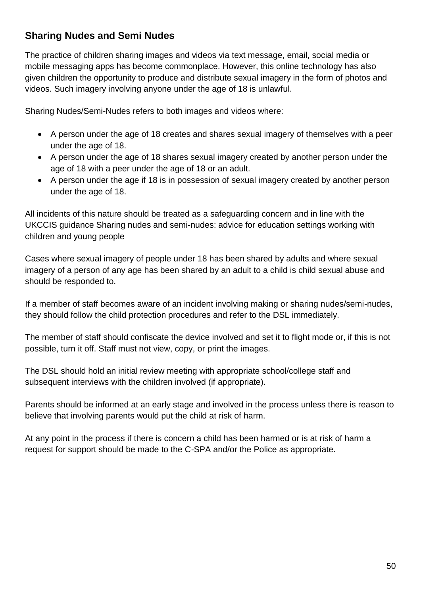## **Sharing Nudes and Semi Nudes**

The practice of children sharing images and videos via text message, email, social media or mobile messaging apps has become commonplace. However, this online technology has also given children the opportunity to produce and distribute sexual imagery in the form of photos and videos. Such imagery involving anyone under the age of 18 is unlawful.

Sharing Nudes/Semi-Nudes refers to both images and videos where:

- A person under the age of 18 creates and shares sexual imagery of themselves with a peer under the age of 18.
- A person under the age of 18 shares sexual imagery created by another person under the age of 18 with a peer under the age of 18 or an adult.
- A person under the age if 18 is in possession of sexual imagery created by another person under the age of 18.

All incidents of this nature should be treated as a safeguarding concern and in line with the UKCCIS guidance [Sharing nudes and semi-nudes: advice for education settings working with](https://www.gov.uk/government/publications/sharing-nudes-and-semi-nudes-advice-for-education-settings-working-with-children-and-young-people/sharing-nudes-and-semi-nudes-advice-for-education-settings-working-with-children-and-young-people)  [children and young people](https://www.gov.uk/government/publications/sharing-nudes-and-semi-nudes-advice-for-education-settings-working-with-children-and-young-people/sharing-nudes-and-semi-nudes-advice-for-education-settings-working-with-children-and-young-people)

Cases where sexual imagery of people under 18 has been shared by adults and where sexual imagery of a person of any age has been shared by an adult to a child is child sexual abuse and should be responded to.

If a member of staff becomes aware of an incident involving making or sharing nudes/semi-nudes, they should follow the child protection procedures and refer to the DSL immediately.

The member of staff should confiscate the device involved and set it to flight mode or, if this is not possible, turn it off. Staff must not view, copy, or print the images.

The DSL should hold an initial review meeting with appropriate school/college staff and subsequent interviews with the children involved (if appropriate).

Parents should be informed at an early stage and involved in the process unless there is reason to believe that involving parents would put the child at risk of harm.

At any point in the process if there is concern a child has been harmed or is at risk of harm a request for support should be made to the C-SPA and/or the Police as appropriate.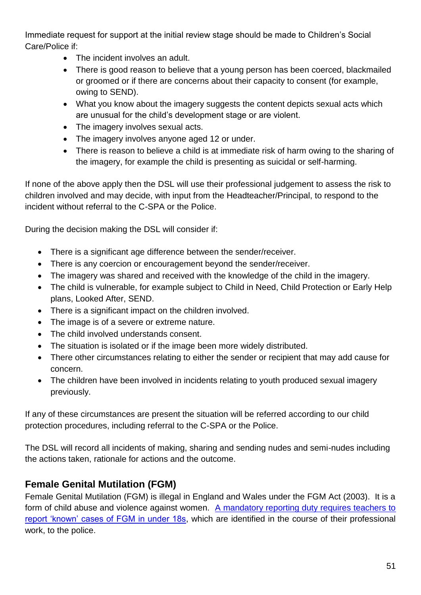Immediate request for support at the initial review stage should be made to Children's Social Care/Police if:

- The incident involves an adult.
- There is good reason to believe that a young person has been coerced, blackmailed or groomed or if there are concerns about their capacity to consent (for example, owing to SEND).
- What you know about the imagery suggests the content depicts sexual acts which are unusual for the child's development stage or are violent.
- The imagery involves sexual acts.
- The imagery involves anyone aged 12 or under.
- There is reason to believe a child is at immediate risk of harm owing to the sharing of the imagery, for example the child is presenting as suicidal or self-harming.

If none of the above apply then the DSL will use their professional judgement to assess the risk to children involved and may decide, with input from the Headteacher/Principal, to respond to the incident without referral to the C-SPA or the Police.

During the decision making the DSL will consider if:

- There is a significant age difference between the sender/receiver.
- There is any coercion or encouragement beyond the sender/receiver.
- The imagery was shared and received with the knowledge of the child in the imagery.
- The child is vulnerable, for example subject to Child in Need, Child Protection or Early Help plans, Looked After, SEND.
- There is a significant impact on the children involved.
- The image is of a severe or extreme nature.
- The child involved understands consent.
- The situation is isolated or if the image been more widely distributed.
- There other circumstances relating to either the sender or recipient that may add cause for concern.
- The children have been involved in incidents relating to youth produced sexual imagery previously.

If any of these circumstances are present the situation will be referred according to our child protection procedures, including referral to the C-SPA or the Police.

The DSL will record all incidents of making, sharing and sending nudes and semi-nudes including the actions taken, rationale for actions and the outcome.

## **Female Genital Mutilation (FGM)**

Female Genital Mutilation (FGM) is illegal in England and Wales under the FGM Act (2003). It is a form of child abuse and violence against women. [A mandatory reporting duty requires teachers to](https://www.gov.uk/government/publications/mandatory-reporting-of-female-genital-mutilation-procedural-information)  [report 'known' cases of FGM in under 18s,](https://www.gov.uk/government/publications/mandatory-reporting-of-female-genital-mutilation-procedural-information) which are identified in the course of their professional work, to the police.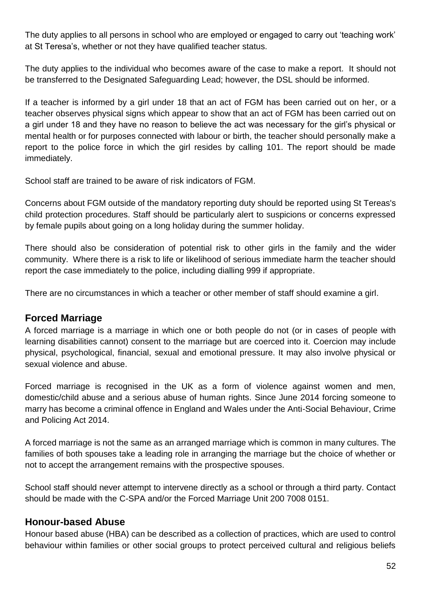The duty applies to all persons in school who are employed or engaged to carry out 'teaching work' at St Teresa's, whether or not they have qualified teacher status.

The duty applies to the individual who becomes aware of the case to make a report. It should not be transferred to the Designated Safeguarding Lead; however, the DSL should be informed.

If a teacher is informed by a girl under 18 that an act of FGM has been carried out on her, or a teacher observes physical signs which appear to show that an act of FGM has been carried out on a girl under 18 and they have no reason to believe the act was necessary for the girl's physical or mental health or for purposes connected with labour or birth, the teacher should personally make a report to the police force in which the girl resides by calling 101. The report should be made immediately.

School staff are trained to be aware of risk indicators of FGM.

Concerns about FGM outside of the mandatory reporting duty should be reported using St Tereas's child protection procedures. Staff should be particularly alert to suspicions or concerns expressed by female pupils about going on a long holiday during the summer holiday.

There should also be consideration of potential risk to other girls in the family and the wider community. Where there is a risk to life or likelihood of serious immediate harm the teacher should report the case immediately to the police, including dialling 999 if appropriate.

There are no circumstances in which a teacher or other member of staff should examine a girl.

#### **Forced Marriage**

A forced marriage is a marriage in which one or both people do not (or in cases of people with learning disabilities cannot) consent to the marriage but are coerced into it. Coercion may include physical, psychological, financial, sexual and emotional pressure. It may also involve physical or sexual violence and abuse.

Forced marriage is recognised in the UK as a form of violence against women and men, domestic/child abuse and a serious abuse of human rights. Since June 2014 forcing someone to marry has become a criminal offence in England and Wales under the Anti-Social Behaviour, Crime and Policing Act 2014.

A forced marriage is not the same as an arranged marriage which is common in many cultures. The families of both spouses take a leading role in arranging the marriage but the choice of whether or not to accept the arrangement remains with the prospective spouses.

School staff should never attempt to intervene directly as a school or through a third party. Contact should be made with the C-SPA and/or the Forced Marriage Unit 200 7008 0151.

#### **Honour-based Abuse**

Honour based abuse (HBA) can be described as a collection of practices, which are used to control behaviour within families or other social groups to protect perceived cultural and religious beliefs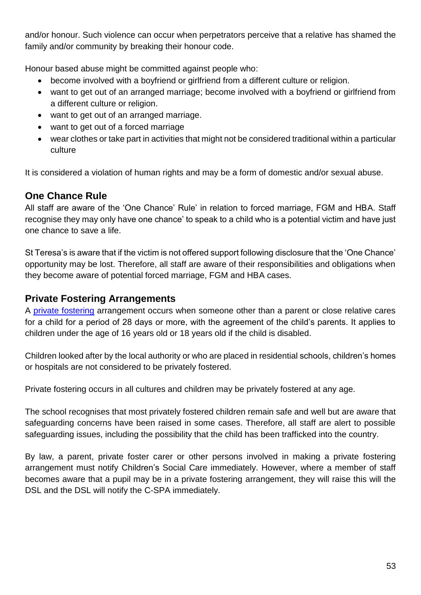and/or honour. Such violence can occur when perpetrators perceive that a relative has shamed the family and/or community by breaking their honour code.

Honour based abuse might be committed against people who:

- become involved with a boyfriend or girlfriend from a different culture or religion.
- want to get out of an arranged marriage; become involved with a boyfriend or girlfriend from a different culture or religion.
- want to get out of an arranged marriage.
- want to get out of a forced marriage
- wear clothes or take part in activities that might not be considered traditional within a particular culture

It is considered a violation of human rights and may be a form of domestic and/or sexual abuse.

## **One Chance Rule**

All staff are aware of the 'One Chance' Rule' in relation to forced marriage, FGM and HBA. Staff recognise they may only have one chance' to speak to a child who is a potential victim and have just one chance to save a life.

St Teresa's is aware that if the victim is not offered support following disclosure that the 'One Chance' opportunity may be lost. Therefore, all staff are aware of their responsibilities and obligations when they become aware of potential forced marriage, FGM and HBA cases.

## **Private Fostering Arrangements**

A [private fostering](https://www.surreycc.gov.uk/__data/assets/pdf_file/0008/157769/Private-Fostering-A-guide-for-DSLs.pdf) arrangement occurs when someone other than a parent or close relative cares for a child for a period of 28 days or more, with the agreement of the child's parents. It applies to children under the age of 16 years old or 18 years old if the child is disabled.

Children looked after by the local authority or who are placed in residential schools, children's homes or hospitals are not considered to be privately fostered.

Private fostering occurs in all cultures and children may be privately fostered at any age.

The school recognises that most privately fostered children remain safe and well but are aware that safeguarding concerns have been raised in some cases. Therefore, all staff are alert to possible safeguarding issues, including the possibility that the child has been trafficked into the country.

By law, a parent, private foster carer or other persons involved in making a private fostering arrangement must notify Children's Social Care immediately. However, where a member of staff becomes aware that a pupil may be in a private fostering arrangement, they will raise this will the DSL and the DSL will notify the C-SPA immediately.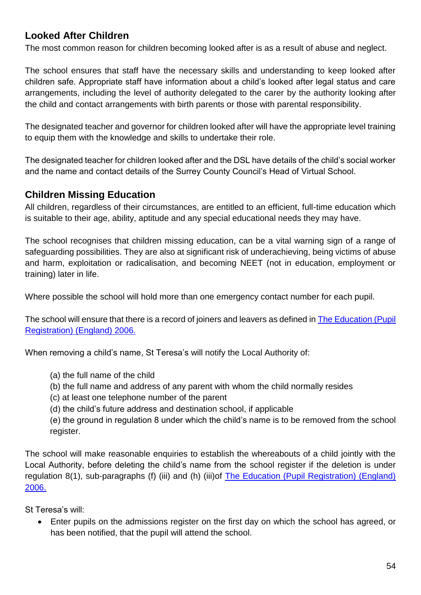## **Looked After Children**

The most common reason for children becoming looked after is as a result of abuse and neglect.

The school ensures that staff have the necessary skills and understanding to keep looked after children safe. Appropriate staff have information about a child's looked after legal status and care arrangements, including the level of authority delegated to the carer by the authority looking after the child and contact arrangements with birth parents or those with parental responsibility.

The designated teacher and governor for children looked after will have the appropriate level training to equip them with the knowledge and skills to undertake their role.

The designated teacher for children looked after and the DSL have details of the child's social worker and the name and contact details of the Surrey County Council's Head of Virtual School.

## **Children Missing Education**

All children, regardless of their circumstances, are entitled to an efficient, full-time education which is suitable to their age, ability, aptitude and any special educational needs they may have.

The school recognises that children missing education, can be a vital warning sign of a range of safeguarding possibilities. They are also at significant risk of underachieving, being victims of abuse and harm, exploitation or radicalisation, and becoming NEET (not in education, employment or training) later in life.

Where possible the school will hold more than one emergency contact number for each pupil.

The school will ensure that there is a record of joiners and leavers as defined in [The Education \(Pupil](https://www.kelsi.org.uk/news-and-events/news/primary/changes-to-the-education-pupil-registration-england-regulations-2006)  [Registration\) \(England\) 2006.](https://www.kelsi.org.uk/news-and-events/news/primary/changes-to-the-education-pupil-registration-england-regulations-2006)

When removing a child's name, St Teresa's will notify the Local Authority of:

- (a) the full name of the child
- (b) the full name and address of any parent with whom the child normally resides
- (c) at least one telephone number of the parent
- (d) the child's future address and destination school, if applicable
- (e) the ground in regulation 8 under which the child's name is to be removed from the school register.

The school will make reasonable enquiries to establish the whereabouts of a child jointly with the Local Authority, before deleting the child's name from the school register if the deletion is under regulation 8(1), sub-paragraphs (f) (iii) and (h) (iii)of [The Education \(Pupil Registration\) \(England\)](https://www.kelsi.org.uk/news-and-events/news/primary/changes-to-the-education-pupil-registration-england-regulations-2006)  [2006.](https://www.kelsi.org.uk/news-and-events/news/primary/changes-to-the-education-pupil-registration-england-regulations-2006)

St Teresa's will:

 Enter pupils on the admissions register on the first day on which the school has agreed, or has been notified, that the pupil will attend the school.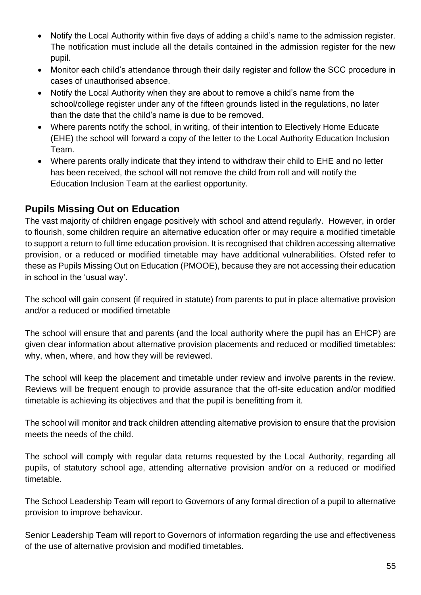- Notify the Local Authority within five days of adding a child's name to the admission register. The notification must include all the details contained in the admission register for the new pupil.
- Monitor each child's attendance through their daily register and follow the SCC procedure in cases of unauthorised absence.
- Notify the Local Authority when they are about to remove a child's name from the school/college register under any of the fifteen grounds listed in the regulations, no later than the date that the child's name is due to be removed.
- Where parents notify the school, in writing, of their intention to Electively Home Educate (EHE) the school will forward a copy of the letter to the Local Authority Education Inclusion Team.
- Where parents orally indicate that they intend to withdraw their child to EHE and no letter has been received, the school will not remove the child from roll and will notify the Education Inclusion Team at the earliest opportunity.

## **Pupils Missing Out on Education**

The vast majority of children engage positively with school and attend regularly. However, in order to flourish, some children require an alternative education offer or may require a modified timetable to support a return to full time education provision. It is recognised that children accessing alternative provision, or a reduced or modified timetable may have additional vulnerabilities. Ofsted refer to these as Pupils Missing Out on Education (PMOOE), because they are not accessing their education in school in the 'usual way'.

The school will gain consent (if required in statute) from parents to put in place alternative provision and/or a reduced or modified timetable

The school will ensure that and parents (and the local authority where the pupil has an EHCP) are given clear information about alternative provision placements and reduced or modified timetables: why, when, where, and how they will be reviewed.

The school will keep the placement and timetable under review and involve parents in the review. Reviews will be frequent enough to provide assurance that the off-site education and/or modified timetable is achieving its objectives and that the pupil is benefitting from it.

The school will monitor and track children attending alternative provision to ensure that the provision meets the needs of the child.

The school will comply with regular data returns requested by the Local Authority, regarding all pupils, of statutory school age, attending alternative provision and/or on a reduced or modified timetable.

The School Leadership Team will report to Governors of any formal direction of a pupil to alternative provision to improve behaviour.

Senior Leadership Team will report to Governors of information regarding the use and effectiveness of the use of alternative provision and modified timetables.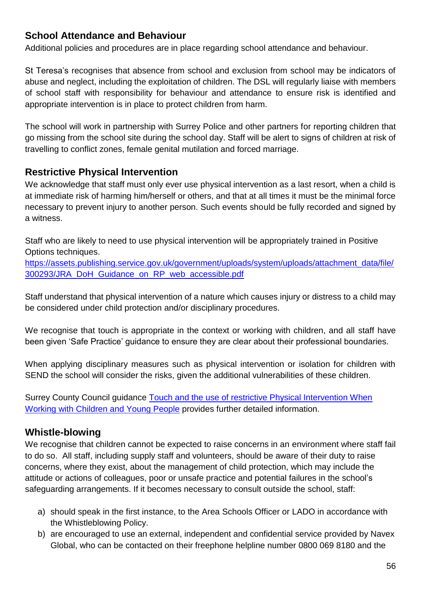## **School Attendance and Behaviour**

Additional policies and procedures are in place regarding school attendance and behaviour.

St Teresa's recognises that absence from school and exclusion from school may be indicators of abuse and neglect, including the exploitation of children. The DSL will regularly liaise with members of school staff with responsibility for behaviour and attendance to ensure risk is identified and appropriate intervention is in place to protect children from harm.

The school will work in partnership with Surrey Police and other partners for reporting children that go missing from the school site during the school day. Staff will be alert to signs of children at risk of travelling to conflict zones, female genital mutilation and forced marriage.

## **Restrictive Physical Intervention**

We acknowledge that staff must only ever use physical intervention as a last resort, when a child is at immediate risk of harming him/herself or others, and that at all times it must be the minimal force necessary to prevent injury to another person. Such events should be fully recorded and signed by a witness.

Staff who are likely to need to use physical intervention will be appropriately trained in Positive Options techniques.

[https://assets.publishing.service.gov.uk/government/uploads/system/uploads/attachment\\_data/file/](https://assets.publishing.service.gov.uk/government/uploads/system/uploads/attachment_data/file/300293/JRA_DoH_Guidance_on_RP_web_accessible.pdf) [300293/JRA\\_DoH\\_Guidance\\_on\\_RP\\_web\\_accessible.pdf](https://assets.publishing.service.gov.uk/government/uploads/system/uploads/attachment_data/file/300293/JRA_DoH_Guidance_on_RP_web_accessible.pdf) 

Staff understand that physical intervention of a nature which causes injury or distress to a child may be considered under child protection and/or disciplinary procedures.

We recognise that touch is appropriate in the context or working with children, and all staff have been given 'Safe Practice' guidance to ensure they are clear about their professional boundaries.

When applying disciplinary measures such as physical intervention or isolation for children with SEND the school will consider the risks, given the additional vulnerabilities of these children.

Surrey County Council guidance [Touch and the use of restrictive Physical Intervention When](https://www.surreycc.gov.uk/schools-and-learning/teachers-and-education-staff/educational-advice-and-support/safeguarding/safeguarding-children-in-education-policies-procedures-and-guidance)  Working with [Children and Young People](https://www.surreycc.gov.uk/schools-and-learning/teachers-and-education-staff/educational-advice-and-support/safeguarding/safeguarding-children-in-education-policies-procedures-and-guidance) provides further detailed information.

## **Whistle-blowing**

We recognise that children cannot be expected to raise concerns in an environment where staff fail to do so. All staff, including supply staff and volunteers, should be aware of their duty to raise concerns, where they exist, about the management of child protection, which may include the attitude or actions of colleagues, poor or unsafe practice and potential failures in the school's safeguarding arrangements. If it becomes necessary to consult outside the school, staff:

- a) should speak in the first instance, to the Area Schools Officer or LADO in accordance with the Whistleblowing Policy.
- b) are encouraged to use an external, independent and confidential service provided by Navex Global, who can be contacted on their freephone helpline number 0800 069 8180 and the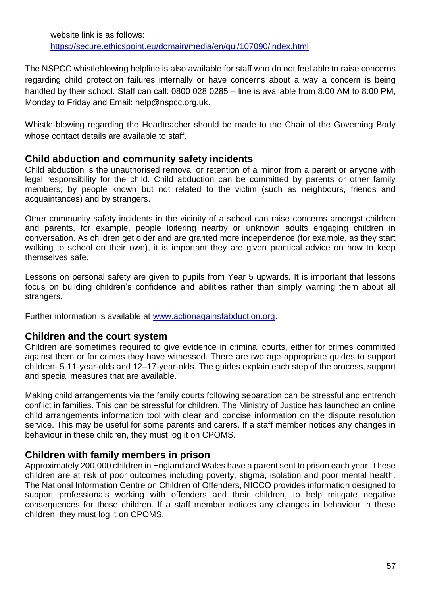website link is as follows: <https://secure.ethicspoint.eu/domain/media/en/gui/107090/index.html>

The NSPCC whistleblowing helpline is also available for staff who do not feel able to raise concerns regarding child protection failures internally or have concerns about a way a concern is being handled by their school. Staff can call: 0800 028 0285 – line is available from 8:00 AM to 8:00 PM, Monday to Friday and Email: help@nspcc.org.uk.

Whistle-blowing regarding the Headteacher should be made to the Chair of the Governing Body whose contact details are available to staff.

#### **Child abduction and community safety incidents**

Child abduction is the unauthorised removal or retention of a minor from a parent or anyone with legal responsibility for the child. Child abduction can be committed by parents or other family members; by people known but not related to the victim (such as neighbours, friends and acquaintances) and by strangers.

Other community safety incidents in the vicinity of a school can raise concerns amongst children and parents, for example, people loitering nearby or unknown adults engaging children in conversation. As children get older and are granted more independence (for example, as they start walking to school on their own), it is important they are given practical advice on how to keep themselves safe.

Lessons on personal safety are given to pupils from Year 5 upwards. It is important that lessons focus on building children's confidence and abilities rather than simply warning them about all strangers.

Further information is available at www.actionagainstabduction.org.

#### **Children and the court system**

Children are sometimes required to give evidence in criminal courts, either for crimes committed against them or for crimes they have witnessed. There are two age-appropriate guides to support children- 5-11-year-olds and 12–17-year-olds. The guides explain each step of the process, support and special measures that are available.

Making child arrangements via the family courts following separation can be stressful and entrench conflict in families. This can be stressful for children. The Ministry of Justice has launched an online child arrangements information tool with clear and concise information on the dispute resolution service. This may be useful for some parents and carers. If a staff member notices any changes in behaviour in these children, they must log it on CPOMS.

#### **Children with family members in prison**

Approximately 200,000 children in England and Wales have a parent sent to prison each year. These children are at risk of poor outcomes including poverty, stigma, isolation and poor mental health. The National Information Centre on Children of Offenders, NICCO provides information designed to support professionals working with offenders and their children, to help mitigate negative consequences for those children. If a staff member notices any changes in behaviour in these children, they must log it on CPOMS.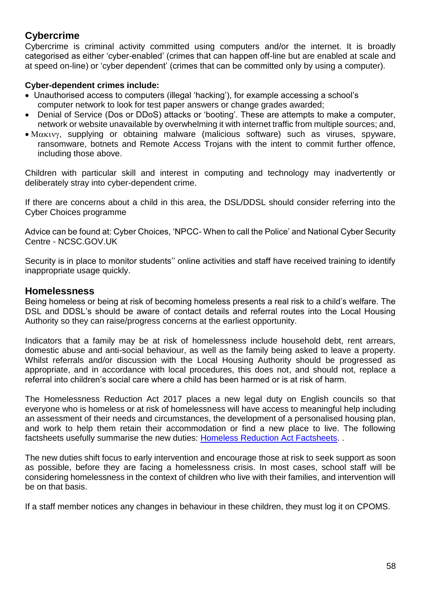## **Cybercrime**

Cybercrime is criminal activity committed using computers and/or the internet. It is broadly categorised as either 'cyber-enabled' (crimes that can happen off-line but are enabled at scale and at speed on-line) or 'cyber dependent' (crimes that can be committed only by using a computer).

#### **Cyber-dependent crimes include:**

- Unauthorised access to computers (illegal 'hacking'), for example accessing a school's computer network to look for test paper answers or change grades awarded;
- Denial of Service (Dos or DDoS) attacks or 'booting'. These are attempts to make a computer, network or website unavailable by overwhelming it with internet traffic from multiple sources; and,
- $\bullet$  M $\alpha$ Ktvy, supplying or obtaining malware (malicious software) such as viruses, spyware, ransomware, botnets and Remote Access Trojans with the intent to commit further offence, including those above.

Children with particular skill and interest in computing and technology may inadvertently or deliberately stray into cyber-dependent crime.

If there are concerns about a child in this area, the DSL/DDSL should consider referring into the Cyber Choices programme

Advice can be found at: Cyber Choices, 'NPCC- When to call the Police' and National Cyber Security Centre - NCSC.GOV.UK

Security is in place to monitor students'' online activities and staff have received training to identify inappropriate usage quickly.

#### **Homelessness**

Being homeless or being at risk of becoming homeless presents a real risk to a child's welfare. The DSL and DDSL's should be aware of contact details and referral routes into the Local Housing Authority so they can raise/progress concerns at the earliest opportunity.

Indicators that a family may be at risk of homelessness include household debt, rent arrears, domestic abuse and anti-social behaviour, as well as the family being asked to leave a property. Whilst referrals and/or discussion with the Local Housing Authority should be progressed as appropriate, and in accordance with local procedures, this does not, and should not, replace a referral into children's social care where a child has been harmed or is at risk of harm.

The Homelessness Reduction Act 2017 places a new legal duty on English councils so that everyone who is homeless or at risk of homelessness will have access to meaningful help including an assessment of their needs and circumstances, the development of a personalised housing plan, and work to help them retain their accommodation or find a new place to live. The following factsheets usefully summarise the new duties: [Homeless Reduction Act Factsheets.](https://www.gov.uk/government/publications/homelessness-reduction-bill-policy-factsheets) .

The new duties shift focus to early intervention and encourage those at risk to seek support as soon as possible, before they are facing a homelessness crisis. In most cases, school staff will be considering homelessness in the context of children who live with their families, and intervention will be on that basis.

If a staff member notices any changes in behaviour in these children, they must log it on CPOMS.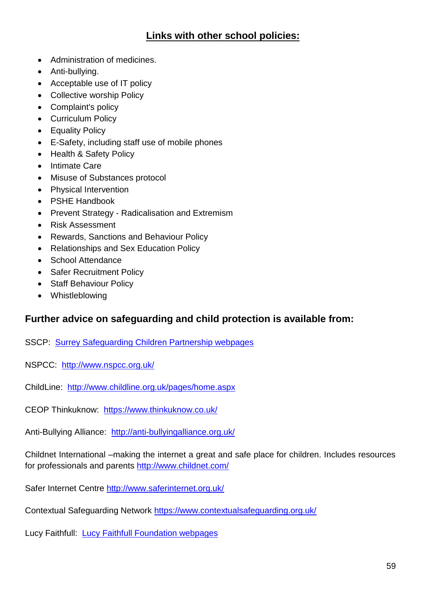## **Links with other school policies:**

- Administration of medicines.
- Anti-bullying.
- Acceptable use of IT policy
- Collective worship Policy
- Complaint's policy
- Curriculum Policy
- Equality Policy
- E-Safety, including staff use of mobile phones
- Health & Safety Policy
- Intimate Care
- Misuse of Substances protocol
- Physical Intervention
- PSHE Handbook
- Prevent Strategy Radicalisation and Extremism
- Risk Assessment
- Rewards, Sanctions and Behaviour Policy
- Relationships and Sex Education Policy
- School Attendance
- Safer Recruitment Policy
- Staff Behaviour Policy
- Whistleblowing

## **Further advice on safeguarding and child protection is available from:**

SSCP: [Surrey Safeguarding Children Partnership webpages](https://www.surreyscp.org.uk/)

NSPCC: <http://www.nspcc.org.uk/>

ChildLine: <http://www.childline.org.uk/pages/home.aspx>

CEOP Thinkuknow: <https://www.thinkuknow.co.uk/>

Anti-Bullying Alliance: <http://anti-bullyingalliance.org.uk/>

Childnet International –making the internet a great and safe place for children. Includes resources for professionals and parents<http://www.childnet.com/>

Safer Internet Centre<http://www.saferinternet.org.uk/>

Contextual Safeguarding Network<https://www.contextualsafeguarding.org.uk/>

Lucy Faithfull: [Lucy Faithfull Foundation webpages](https://www.lucyfaithfull.org.uk/)